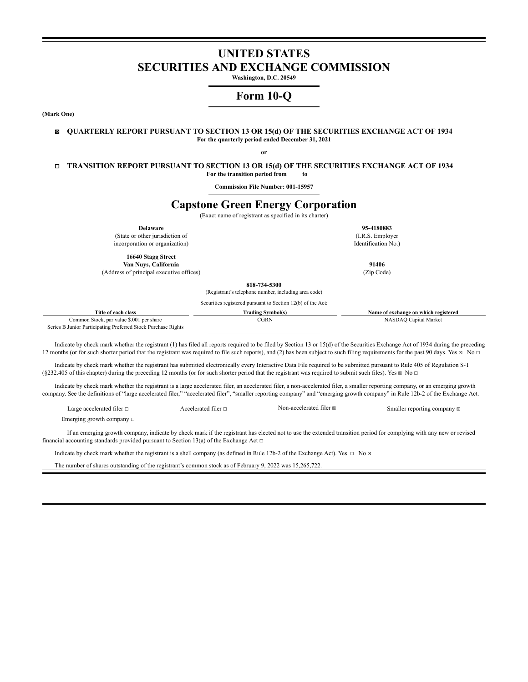# **UNITED STATES SECURITIES AND EXCHANGE COMMISSION**

**Washington, D.C. 20549**

# **Form 10-Q**

**(Mark One)**

☒ **QUARTERLY REPORT PURSUANT TO SECTION 13 OR 15(d) OF THE SECURITIES EXCHANGE ACT OF 1934 For the quarterly period ended December 31, 2021**

**or**

☐ **TRANSITION REPORT PURSUANT TO SECTION 13 OR 15(d) OF THE SECURITIES EXCHANGE ACT OF 1934 For the transition period from to** 

**Commission File Number: 001-15957**

# **Capstone Green Energy Corporation**

(Exact name of registrant as specified in its charter)

**Delaware 95-4180883** (State or other jurisdiction of incorporation or organization)

**16640 Stagg Street Van Nuys, California**

(Address of principal executive offices)

(I.R.S. Employer Identification No.)

**91406**

(Zip Code)

**818-734-5300**

(Registrant's telephone number, including area code) Securities registered pursuant to Section 12(b) of the Act:

| Title of each class                                           | Trading Svmbol(s) | Name of exchange on which registered |
|---------------------------------------------------------------|-------------------|--------------------------------------|
| Common Stock, par value \$.001 per share                      | <b>GRN</b>        | NASDAQ Capital Market                |
| Series B Junior Participating Preferred Stock Purchase Rights |                   |                                      |

Indicate by check mark whether the registrant (1) has filed all reports required to be filed by Section 13 or 15(d) of the Securities Exchange Act of 1934 during the preceding 12 months (or for such shorter period that the registrant was required to file such reports), and (2) has been subject to such filing requirements for the past 90 days. Yes  $\boxtimes$  No  $\Box$ 

Indicate by check mark whether the registrant has submitted electronically every Interactive Data File required to be submitted pursuant to Rule 405 of Regulation S-T (§232.405 of this chapter) during the preceding 12 months (or for such shorter period that the registrant was required to submit such files). Yes  $\boxtimes$  No  $\Box$ 

Indicate by check mark whether the registrant is a large accelerated filer, an accelerated filer, a non-accelerated filer, a smaller reporting company, or an emerging growth company. See the definitions of "large accelerated filer," "accelerated filer", "smaller reporting company" and "emerging growth company" in Rule 12b-2 of the Exchange Act.

Large accelerated filer □ Accelerated filer □ Non-accelerated filer ⊠ Smaller reporting company ⊠ Emerging growth company ☐

If an emerging growth company, indicate by check mark if the registrant has elected not to use the extended transition period for complying with any new or revised financial accounting standards provided pursuant to Section 13(a) of the Exchange Act  $□$ 

Indicate by check mark whether the registrant is a shell company (as defined in Rule 12b-2 of the Exchange Act). Yes  $\Box$  No  $\Box$ 

The number of shares outstanding of the registrant's common stock as of February 9, 2022 was 15,265,722.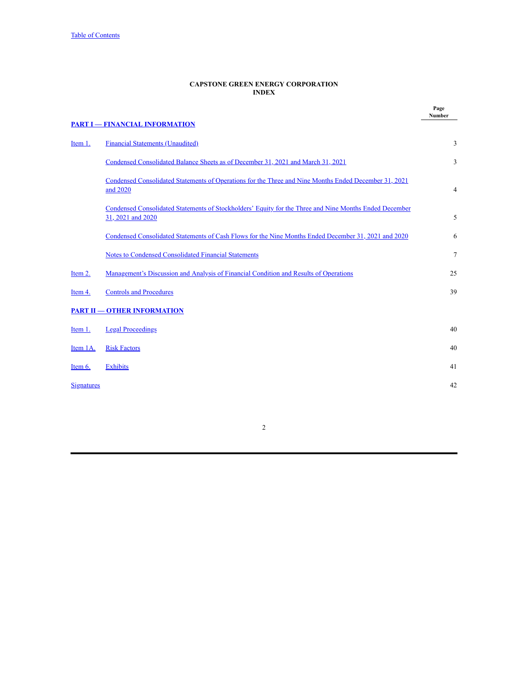# **CAPSTONE GREEN ENERGY CORPORATION INDEX**

<span id="page-1-0"></span>

|                   |                                                                                                                             | Page<br>Number |
|-------------------|-----------------------------------------------------------------------------------------------------------------------------|----------------|
|                   | <b>PART I - FINANCIAL INFORMATION</b>                                                                                       |                |
| Item 1.           | <b>Financial Statements (Unaudited)</b>                                                                                     | 3              |
|                   | Condensed Consolidated Balance Sheets as of December 31, 2021 and March 31, 2021                                            | 3              |
|                   | Condensed Consolidated Statements of Operations for the Three and Nine Months Ended December 31, 2021<br>and 2020           | $\overline{4}$ |
|                   | Condensed Consolidated Statements of Stockholders' Equity for the Three and Nine Months Ended December<br>31, 2021 and 2020 | 5              |
|                   | Condensed Consolidated Statements of Cash Flows for the Nine Months Ended December 31, 2021 and 2020                        | 6              |
|                   | <b>Notes to Condensed Consolidated Financial Statements</b>                                                                 | 7              |
| Item 2.           | Management's Discussion and Analysis of Financial Condition and Results of Operations                                       | 25             |
| Item 4.           | <b>Controls and Procedures</b>                                                                                              | 39             |
|                   | <b>PART II - OTHER INFORMATION</b>                                                                                          |                |
| Item 1.           | <b>Legal Proceedings</b>                                                                                                    | 40             |
| Item 1A.          | <b>Risk Factors</b>                                                                                                         | 40             |
| Item 6.           | <b>Exhibits</b>                                                                                                             | 41             |
| <b>Signatures</b> |                                                                                                                             | 42             |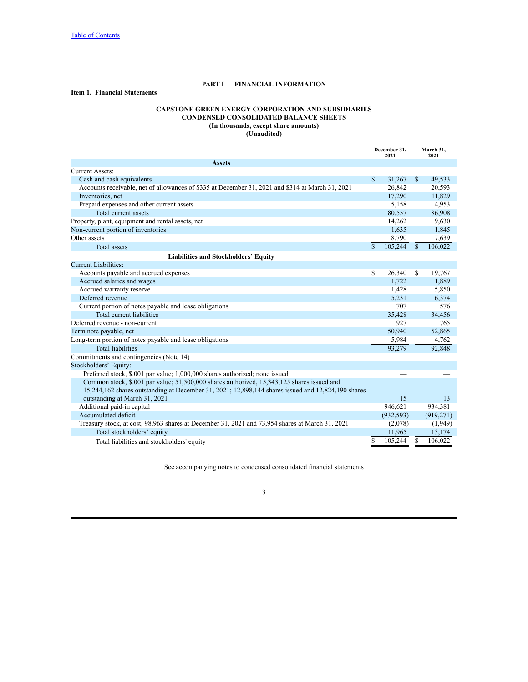# **PART I — FINANCIAL INFORMATION**

#### <span id="page-2-2"></span><span id="page-2-1"></span><span id="page-2-0"></span>**Item 1. Financial Statements**

## **CAPSTONE GREEN ENERGY CORPORATION AND SUBSIDIARIES CONDENSED CONSOLIDATED BALANCE SHEETS (In thousands, except share amounts) (Unaudited)**

**December 31, March 31, 2021 2021 Assets** Current Assets: Cash and cash equivalents **6** 31,267 \$ 49,533 Accounts receivable, net of allowances of \$335 at December 31, 2021 and \$314 at March 31, 2021 26,842 20,593<br>Inventories, net 11,829 11,829 **Inventories, net** 11,829 11,829 Prepaid expenses and other current assets 5,158 4,953 Total current assets 80,557 86,908 Property, plant, equipment and rental assets, net 14,262 9,630 Non-current portion of inventories 1,635 1,845 Other assets 8,790 7,639 Total assets  $$ 105,244 $ 106,022$ **Liabilities and Stockholders' Equity** Current Liabilities: Accounts payable and accrued expenses the countries of the countries of the countries of the countries of the countries of the countries of the countries of the countries of the countries of the countries of the countries Accrued salaries and wages 1,722 1,889<br>Accrued warranty reserve 1,428 5,850 Accrued warranty reserve 1,428 Deferred revenue 5,231 6,374 6,374 Current portion of notes payable and lease obligations 707 576 Total current liabilities 35,428 34,456 Deferred revenue - non-current 927 765 Term note payable, net 50,940 52,865 Long-term portion of notes payable and lease obligations 5,984 4,762 Total liabilities  $\overline{93,279}$   $\overline{92,848}$ Commitments and contingencies (Note 14) Stockholders' Equity: Preferred stock, \$.001 par value; 1,000,000 shares authorized; none issued Common stock, \$.001 par value; 51,500,000 shares authorized, 15,343,125 shares issued and 15,244,162 shares outstanding at December 31, 2021; 12,898,144 shares issued and 12,824,190 shares outstanding at March 31, 2021 15 13 Additional paid-in capital 946,621 934,381 Accumulated deficit (932,593) (919,271) Treasury stock, at cost; 98,963 shares at December 31, 2021 and 73,954 shares at March 31, 2021 (2,078) (1,949) Total stockholders' equity and the contract of the contract of the contract of the contract of the contract of the contract of the contract of the contract of the contract of the contract of the contract of the contract of Total liabilities and stockholders' equity  $\overline{\text{S}}$  105,244  $\overline{\text{S}}$  106,022

See accompanying notes to condensed consolidated financial statements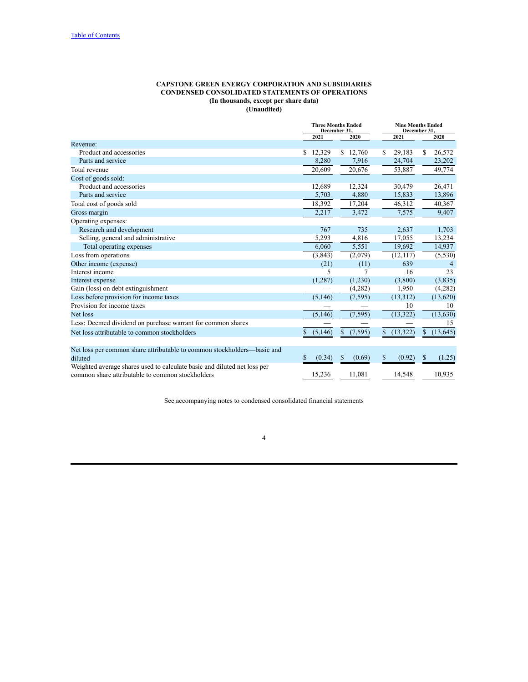# **CAPSTONE GREEN ENERGY CORPORATION AND SUBSIDIARIES CONDENSED CONSOLIDATED STATEMENTS OF OPERATIONS (In thousands, except per share data) (Unaudited)**

<span id="page-3-0"></span>

|                                                                          | <b>Three Months Ended</b><br>December 31. |                | <b>Nine Months Ended</b><br>December 31. |                           |  |  |  |  |
|--------------------------------------------------------------------------|-------------------------------------------|----------------|------------------------------------------|---------------------------|--|--|--|--|
|                                                                          | 2021                                      | 2020           | 2021                                     | 2020                      |  |  |  |  |
| Revenue:                                                                 |                                           |                |                                          |                           |  |  |  |  |
| Product and accessories                                                  | 12,329<br>\$                              | \$12,760       | \$<br>29,183                             | 26,572<br>\$              |  |  |  |  |
| Parts and service                                                        | 8,280                                     | 7,916          | 24,704                                   | 23,202                    |  |  |  |  |
| Total revenue                                                            | 20,609                                    | 20,676         | 53,887                                   | 49,774                    |  |  |  |  |
| Cost of goods sold:                                                      |                                           |                |                                          |                           |  |  |  |  |
| Product and accessories                                                  | 12,689                                    | 12,324         | 30,479                                   | 26,471                    |  |  |  |  |
| Parts and service                                                        | 5,703                                     | 4,880          | 15,833                                   | 13,896                    |  |  |  |  |
| Total cost of goods sold                                                 | 18,392                                    | 17,204         | 46,312                                   | 40,367                    |  |  |  |  |
| Gross margin                                                             | 2,217                                     | 3,472          | 7,575                                    | 9,407                     |  |  |  |  |
| Operating expenses:                                                      |                                           |                |                                          |                           |  |  |  |  |
| Research and development                                                 | 767                                       | 735            | 2,637                                    | 1,703                     |  |  |  |  |
| Selling, general and administrative                                      | 5,293                                     | 4,816          | 17,055                                   | 13,234                    |  |  |  |  |
| Total operating expenses                                                 | 6,060                                     | 5,551          | 19,692                                   | 14,937                    |  |  |  |  |
| Loss from operations                                                     | (3, 843)                                  | (2,079)        | (12, 117)                                | (5,530)                   |  |  |  |  |
| Other income (expense)                                                   | (21)                                      | (11)           | 639                                      |                           |  |  |  |  |
| Interest income                                                          | 5                                         | 7              | 16                                       | 23                        |  |  |  |  |
| Interest expense                                                         | (1, 287)                                  | (1,230)        | (3,800)                                  | (3,835)                   |  |  |  |  |
| Gain (loss) on debt extinguishment                                       |                                           | (4,282)        | 1,950                                    | (4,282)                   |  |  |  |  |
| Loss before provision for income taxes                                   | (5, 146)                                  | (7, 595)       | (13,312)                                 | (13,620)                  |  |  |  |  |
| Provision for income taxes                                               |                                           |                | 10                                       | 10                        |  |  |  |  |
| Net loss                                                                 | (5, 146)                                  | (7, 595)       | (13, 322)                                | (13, 630)                 |  |  |  |  |
| Less: Deemed dividend on purchase warrant for common shares              |                                           |                |                                          | 15                        |  |  |  |  |
| Net loss attributable to common stockholders                             | (5,146)<br>\$                             | (7, 595)<br>\$ | (13, 322)<br>$\mathbb{S}$                | (13, 645)<br>$\mathbb{S}$ |  |  |  |  |
|                                                                          |                                           |                |                                          |                           |  |  |  |  |
| Net loss per common share attributable to common stockholders—basic and  |                                           |                |                                          |                           |  |  |  |  |
| diluted                                                                  | \$<br>(0.34)                              | \$<br>(0.69)   | \$<br>(0.92)                             | \$<br>(1.25)              |  |  |  |  |
| Weighted average shares used to calculate basic and diluted net loss per |                                           |                |                                          |                           |  |  |  |  |
| common share attributable to common stockholders                         | 15,236                                    | 11,081         | 14,548                                   | 10,935                    |  |  |  |  |

See accompanying notes to condensed consolidated financial statements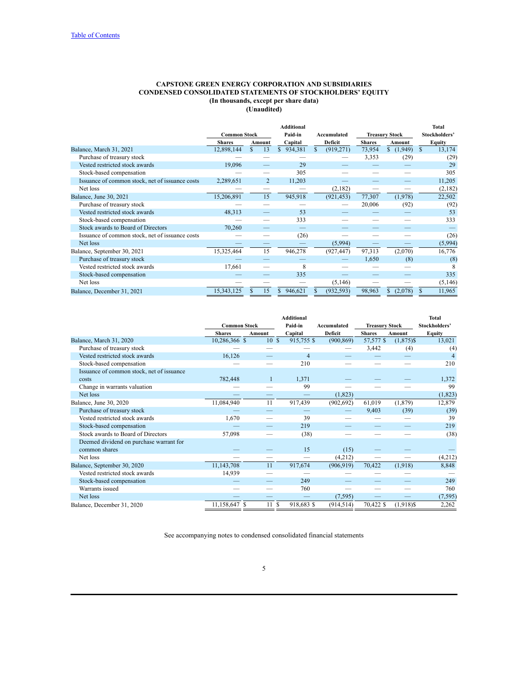# **CAPSTONE GREEN ENERGY CORPORATION AND SUBSIDIARIES CONDENSED CONSOLIDATED STATEMENTS OF STOCKHOLDERS' EQUITY (In thousands, except per share data) (Unaudited)**

<span id="page-4-0"></span>

|                                                 |                     |                | <b>Additional</b> |                  |               |                       | <b>Total</b>           |
|-------------------------------------------------|---------------------|----------------|-------------------|------------------|---------------|-----------------------|------------------------|
|                                                 | <b>Common Stock</b> |                | Paid-in           | Accumulated      |               | <b>Treasury Stock</b> | Stockholders'          |
|                                                 | <b>Shares</b>       | Amount         | Capital           | Deficit          | <b>Shares</b> | Amount                | <b>Equity</b>          |
| Balance, March 31, 2021                         | 12,898,144          | 13             | \$934,381         | (919, 271)<br>S. | 73,954        | (1,949)               | $\mathbf{s}$<br>13,174 |
| Purchase of treasury stock                      |                     |                |                   |                  | 3,353         | (29)                  | (29)                   |
| Vested restricted stock awards                  | 19,096              |                | 29                |                  |               |                       | 29                     |
| Stock-based compensation                        |                     |                | 305               |                  |               |                       | 305                    |
| Issuance of common stock, net of issuance costs | 2,289,651           | $\overline{2}$ | 11,203            |                  |               |                       | 11,205                 |
| Net loss                                        |                     |                |                   | (2,182)          |               |                       | (2,182)                |
| Balance, June 30, 2021                          | 15,206,891          | 15             | 945,918           | (921, 453)       | 77,307        | (1,978)               | 22,502                 |
| Purchase of treasury stock                      |                     |                |                   |                  | 20,006        | (92)                  | (92)                   |
| Vested restricted stock awards                  | 48,313              |                | 53                |                  |               |                       | 53                     |
| Stock-based compensation                        |                     |                | 333               |                  |               |                       | 333                    |
| Stock awards to Board of Directors              | 70,260              |                |                   |                  |               |                       |                        |
| Issuance of common stock, net of issuance costs |                     |                | (26)              |                  |               |                       | (26)                   |
| Net loss                                        |                     |                |                   | (5,994)          |               |                       | (5,994)                |
| Balance, September 30, 2021                     | 15,325,464          | 15             | 946,278           | (927, 447)       | 97,313        | (2,070)               | 16,776                 |
| Purchase of treasury stock                      |                     |                |                   |                  | 1,650         | (8)                   | (8)                    |
| Vested restricted stock awards                  | 17,661              |                | 8                 |                  |               |                       | 8                      |
| Stock-based compensation                        |                     |                | 335               |                  |               |                       | 335                    |
| Net loss                                        |                     |                |                   | (5,146)          |               |                       | (5, 146)               |
| Balance, December 31, 2021                      | 15,343,125          | 15             | 946,621           | (932, 593)       | 98,963        | (2,078)               | 11,965<br>S            |

|                                           |                     |              | <b>Additional</b> |                |                       |              | <b>Total</b>   |
|-------------------------------------------|---------------------|--------------|-------------------|----------------|-----------------------|--------------|----------------|
|                                           | <b>Common Stock</b> |              | Paid-in           | Accumulated    | <b>Treasury Stock</b> |              | Stockholders'  |
|                                           | <b>Shares</b>       | Amount       | Capital           | <b>Deficit</b> | <b>Shares</b>         | Amount       | <b>Equity</b>  |
| Balance, March 31, 2020                   | 10,286,366 \$       | 10S          | 915,755 \$        | (900, 869)     | 57,577 \$             | $(1,875)$ \$ | 13,021         |
| Purchase of treasury stock                |                     |              |                   |                | 3,442                 | (4)          | (4)            |
| Vested restricted stock awards            | 16,126              |              | 4                 |                |                       |              | $\overline{4}$ |
| Stock-based compensation                  |                     |              | 210               |                |                       |              | 210            |
| Issuance of common stock, net of issuance |                     |              |                   |                |                       |              |                |
| costs                                     | 782,448             | $\mathbf{1}$ | 1,371             |                |                       |              | 1,372          |
| Change in warrants valuation              |                     |              | 99                |                |                       |              | 99             |
| Net loss                                  |                     |              |                   | (1, 823)       |                       |              | (1,823)        |
| Balance, June 30, 2020                    | 11,084,940          | 11           | 917,439           | (902, 692)     | 61,019                | (1, 879)     | 12,879         |
| Purchase of treasury stock                |                     |              |                   |                | 9,403                 | (39)         | (39)           |
| Vested restricted stock awards            | 1,670               |              | 39                |                |                       |              | 39             |
| Stock-based compensation                  |                     |              | 219               |                |                       |              | 219            |
| Stock awards to Board of Directors        | 57,098              |              | (38)              |                |                       |              | (38)           |
| Deemed dividend on purchase warrant for   |                     |              |                   |                |                       |              |                |
| common shares                             |                     |              | 15                | (15)           |                       |              |                |
| Net loss                                  |                     |              |                   | (4,212)        |                       |              | (4,212)        |
| Balance, September 30, 2020               | 11, 143, 708        | 11           | 917,674           | (906, 919)     | 70,422                | (1,918)      | 8,848          |
| Vested restricted stock awards            | 14,939              |              |                   |                |                       |              |                |
| Stock-based compensation                  |                     |              | 249               |                |                       |              | 249            |
| Warrants issued                           |                     |              | 760               |                |                       |              | 760            |
| Net loss                                  |                     |              |                   | (7, 595)       |                       |              | (7, 595)       |
| Balance, December 31, 2020                | 11,158,647 \$       | 11S          | 918,683 \$        | (914, 514)     | 70,422 \$             | $(1,918)$ \$ | 2,262          |

See accompanying notes to condensed consolidated financial statements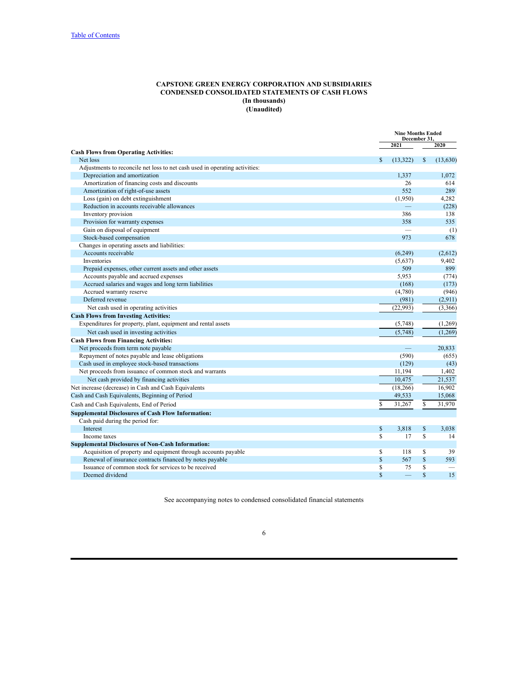# **CAPSTONE GREEN ENERGY CORPORATION AND SUBSIDIARIES CONDENSED CONSOLIDATED STATEMENTS OF CASH FLOWS (In thousands) (Unaudited)**

<span id="page-5-0"></span>

|                                                                             |                            | <b>Nine Months Ended</b><br>December 31. |
|-----------------------------------------------------------------------------|----------------------------|------------------------------------------|
|                                                                             | 2021                       | 2020                                     |
| <b>Cash Flows from Operating Activities:</b>                                |                            |                                          |
| Net loss                                                                    | <sup>\$</sup><br>(13, 322) | \$<br>(13, 630)                          |
| Adjustments to reconcile net loss to net cash used in operating activities: |                            |                                          |
| Depreciation and amortization                                               | 1,337                      | 1,072                                    |
| Amortization of financing costs and discounts                               | 26                         | 614                                      |
| Amortization of right-of-use assets                                         | 552                        | 289                                      |
| Loss (gain) on debt extinguishment                                          | (1,950)                    | 4,282                                    |
| Reduction in accounts receivable allowances                                 |                            | (228)                                    |
| Inventory provision                                                         | 386                        | 138                                      |
| Provision for warranty expenses                                             | 358                        | 535                                      |
| Gain on disposal of equipment                                               |                            | (1)                                      |
| Stock-based compensation                                                    | 973                        | 678                                      |
| Changes in operating assets and liabilities:                                |                            |                                          |
| Accounts receivable                                                         | (6, 249)                   | (2,612)                                  |
| Inventories                                                                 | (5,637)                    | 9,402                                    |
| Prepaid expenses, other current assets and other assets                     | 509                        | 899                                      |
| Accounts payable and accrued expenses                                       | 5,953                      | (774)                                    |
| Accrued salaries and wages and long term liabilities                        | (168)                      | (173)                                    |
| Accrued warranty reserve                                                    | (4,780)                    | (946)                                    |
| Deferred revenue                                                            | (981)                      | (2,911)                                  |
| Net cash used in operating activities                                       | (22,993)                   | (3,366)                                  |
| <b>Cash Flows from Investing Activities:</b>                                |                            |                                          |
| Expenditures for property, plant, equipment and rental assets               | (5,748)                    | (1,269)                                  |
| Net cash used in investing activities                                       | (5,748)                    | (1,269)                                  |
| <b>Cash Flows from Financing Activities:</b>                                |                            |                                          |
| Net proceeds from term note payable                                         |                            | 20,833                                   |
| Repayment of notes payable and lease obligations                            | (590)                      | (655)                                    |
| Cash used in employee stock-based transactions                              | (129)                      | (43)                                     |
| Net proceeds from issuance of common stock and warrants                     | 11,194                     | 1,402                                    |
| Net cash provided by financing activities                                   | 10,475                     | 21,537                                   |
| Net increase (decrease) in Cash and Cash Equivalents                        | (18, 266)                  | 16,902                                   |
| Cash and Cash Equivalents, Beginning of Period                              | 49,533                     | 15,068                                   |
| Cash and Cash Equivalents, End of Period                                    | \$<br>31,267               | $\overline{s}$<br>31,970                 |
| <b>Supplemental Disclosures of Cash Flow Information:</b>                   |                            |                                          |
| Cash paid during the period for:                                            |                            |                                          |
| Interest                                                                    | \$<br>3,818                | \$<br>3,038                              |
| Income taxes                                                                | \$<br>17                   | \$<br>14                                 |
| <b>Supplemental Disclosures of Non-Cash Information:</b>                    |                            |                                          |
| Acquisition of property and equipment through accounts payable              | \$<br>118                  | \$<br>39                                 |
| Renewal of insurance contracts financed by notes payable                    | \$<br>567                  | \$<br>593                                |
| Issuance of common stock for services to be received                        | \$<br>75                   | $\overline{\mathbf{s}}$                  |
| Deemed dividend                                                             | \$                         | $\mathbf S$<br>15                        |

See accompanying notes to condensed consolidated financial statements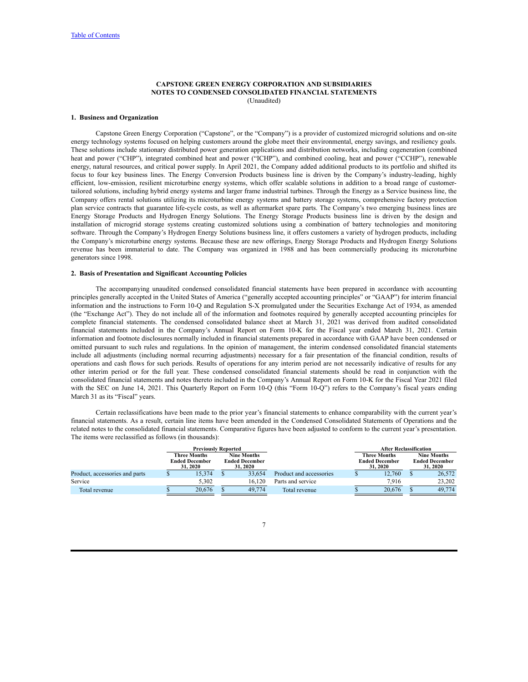## **CAPSTONE GREEN ENERGY CORPORATION AND SUBSIDIARIES NOTES TO CONDENSED CONSOLIDATED FINANCIAL STATEMENTS** (Unaudited)

#### <span id="page-6-0"></span>**1. Business and Organization**

Capstone Green Energy Corporation ("Capstone", or the "Company") is a provider of customized microgrid solutions and on-site energy technology systems focused on helping customers around the globe meet their environmental, energy savings, and resiliency goals. These solutions include stationary distributed power generation applications and distribution networks, including cogeneration (combined heat and power ("CHP"), integrated combined heat and power ("ICHP"), and combined cooling, heat and power ("CCHP"), renewable energy, natural resources, and critical power supply. In April 2021, the Company added additional products to its portfolio and shifted its focus to four key business lines. The Energy Conversion Products business line is driven by the Company's industry-leading, highly efficient, low-emission, resilient microturbine energy systems, which offer scalable solutions in addition to a broad range of customertailored solutions, including hybrid energy systems and larger frame industrial turbines. Through the Energy as a Service business line, the Company offers rental solutions utilizing its microturbine energy systems and battery storage systems, comprehensive factory protection plan service contracts that guarantee life-cycle costs, as well as aftermarket spare parts. The Company's two emerging business lines are Energy Storage Products and Hydrogen Energy Solutions. The Energy Storage Products business line is driven by the design and installation of microgrid storage systems creating customized solutions using a combination of battery technologies and monitoring software. Through the Company's Hydrogen Energy Solutions business line, it offers customers a variety of hydrogen products, including the Company's microturbine energy systems. Because these are new offerings, Energy Storage Products and Hydrogen Energy Solutions revenue has been immaterial to date. The Company was organized in 1988 and has been commercially producing its microturbine generators since 1998.

## **2. Basis of Presentation and Significant Accounting Policies**

The accompanying unaudited condensed consolidated financial statements have been prepared in accordance with accounting principles generally accepted in the United States of America ("generally accepted accounting principles" or "GAAP") for interim financial information and the instructions to Form 10-Q and Regulation S-X promulgated under the Securities Exchange Act of 1934, as amended (the "Exchange Act"). They do not include all of the information and footnotes required by generally accepted accounting principles for complete financial statements. The condensed consolidated balance sheet at March 31, 2021 was derived from audited consolidated financial statements included in the Company's Annual Report on Form 10-K for the Fiscal year ended March 31, 2021. Certain information and footnote disclosures normally included in financial statements prepared in accordance with GAAP have been condensed or omitted pursuant to such rules and regulations. In the opinion of management, the interim condensed consolidated financial statements include all adjustments (including normal recurring adjustments) necessary for a fair presentation of the financial condition, results of operations and cash flows for such periods. Results of operations for any interim period are not necessarily indicative of results for any other interim period or for the full year. These condensed consolidated financial statements should be read in conjunction with the consolidated financial statements and notes thereto included in the Company's Annual Report on Form 10-K for the Fiscal Year 2021 filed with the SEC on June 14, 2021. This Quarterly Report on Form 10-Q (this "Form 10-Q") refers to the Company's fiscal years ending March 31 as its "Fiscal" years.

Certain reclassifications have been made to the prior year's financial statements to enhance comparability with the current year's financial statements. As a result, certain line items have been amended in the Condensed Consolidated Statements of Operations and the related notes to the consolidated financial statements. Comparative figures have been adjusted to conform to the current year's presentation. The items were reclassified as follows (in thousands):

|                                | <b>Previously Reported</b>                               |  |                                                         |                         |                                                          | <b>After Reclassification</b> |                                                         |
|--------------------------------|----------------------------------------------------------|--|---------------------------------------------------------|-------------------------|----------------------------------------------------------|-------------------------------|---------------------------------------------------------|
|                                | <b>Three Months</b><br><b>Ended December</b><br>31, 2020 |  | <b>Nine Months</b><br><b>Ended December</b><br>31, 2020 |                         | <b>Three Months</b><br><b>Ended December</b><br>31, 2020 |                               | <b>Nine Months</b><br><b>Ended December</b><br>31, 2020 |
| Product, accessories and parts | 15,374                                                   |  | 33.654                                                  | Product and accessories |                                                          | 12.760                        | 26,572                                                  |
| Service                        | 5.302                                                    |  | 16.120                                                  | Parts and service       |                                                          | 7.916                         | 23.202                                                  |
| Total revenue                  | 20.676                                                   |  | 49.774                                                  | Total revenue           |                                                          | 20.676                        | 49.774                                                  |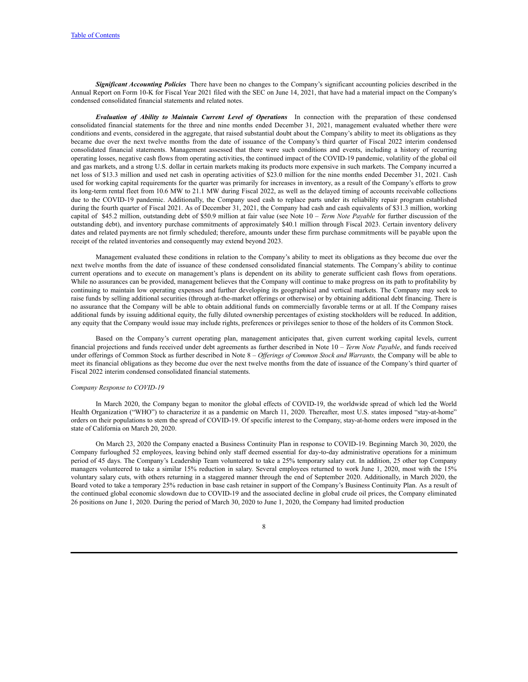*Significant Accounting Policies* There have been no changes to the Company's significant accounting policies described in the Annual Report on Form 10-K for Fiscal Year 2021 filed with the SEC on June 14, 2021, that have had a material impact on the Company's condensed consolidated financial statements and related notes.

*Evaluation of Ability to Maintain Current Level of Operations* In connection with the preparation of these condensed consolidated financial statements for the three and nine months ended December 31, 2021, management evaluated whether there were conditions and events, considered in the aggregate, that raised substantial doubt about the Company's ability to meet its obligations as they became due over the next twelve months from the date of issuance of the Company's third quarter of Fiscal 2022 interim condensed consolidated financial statements. Management assessed that there were such conditions and events, including a history of recurring operating losses, negative cash flows from operating activities, the continued impact of the COVID-19 pandemic, volatility of the global oil and gas markets, and a strong U.S. dollar in certain markets making its products more expensive in such markets. The Company incurred a net loss of \$13.3 million and used net cash in operating activities of \$23.0 million for the nine months ended December 31, 2021. Cash used for working capital requirements for the quarter was primarily for increases in inventory, as a result of the Company's efforts to grow its long-term rental fleet from 10.6 MW to 21.1 MW during Fiscal 2022, as well as the delayed timing of accounts receivable collections due to the COVID-19 pandemic. Additionally, the Company used cash to replace parts under its reliability repair program established during the fourth quarter of Fiscal 2021. As of December 31, 2021, the Company had cash and cash equivalents of \$31.3 million, working capital of \$45.2 million, outstanding debt of \$50.9 million at fair value (see Note 10 – *Term Note Payable* for further discussion of the outstanding debt), and inventory purchase commitments of approximately \$40.1 million through Fiscal 2023. Certain inventory delivery dates and related payments are not firmly scheduled; therefore, amounts under these firm purchase commitments will be payable upon the receipt of the related inventories and consequently may extend beyond 2023.

Management evaluated these conditions in relation to the Company's ability to meet its obligations as they become due over the next twelve months from the date of issuance of these condensed consolidated financial statements. The Company's ability to continue current operations and to execute on management's plans is dependent on its ability to generate sufficient cash flows from operations. While no assurances can be provided, management believes that the Company will continue to make progress on its path to profitability by continuing to maintain low operating expenses and further developing its geographical and vertical markets. The Company may seek to raise funds by selling additional securities (through at-the-market offerings or otherwise) or by obtaining additional debt financing. There is no assurance that the Company will be able to obtain additional funds on commercially favorable terms or at all. If the Company raises additional funds by issuing additional equity, the fully diluted ownership percentages of existing stockholders will be reduced. In addition, any equity that the Company would issue may include rights, preferences or privileges senior to those of the holders of its Common Stock.

Based on the Company's current operating plan, management anticipates that, given current working capital levels, current financial projections and funds received under debt agreements as further described in Note 10 – *Term Note Payable*, and funds received under offerings of Common Stock as further described in Note 8 – Offerings of Common Stock and Warrants, the Company will be able to meet its financial obligations as they become due over the next twelve months from the date of issuance of the Company's third quarter of Fiscal 2022 interim condensed consolidated financial statements.

#### *Company Response to COVID-19*

In March 2020, the Company began to monitor the global effects of COVID-19, the worldwide spread of which led the World Health Organization ("WHO") to characterize it as a pandemic on March 11, 2020. Thereafter, most U.S. states imposed "stay-at-home" orders on their populations to stem the spread of COVID-19. Of specific interest to the Company, stay-at-home orders were imposed in the state of California on March 20, 2020.

On March 23, 2020 the Company enacted a Business Continuity Plan in response to COVID-19. Beginning March 30, 2020, the Company furloughed 52 employees, leaving behind only staff deemed essential for day-to-day administrative operations for a minimum period of 45 days. The Company's Leadership Team volunteered to take a 25% temporary salary cut. In addition, 25 other top Company managers volunteered to take a similar 15% reduction in salary. Several employees returned to work June 1, 2020, most with the 15% voluntary salary cuts, with others returning in a staggered manner through the end of September 2020. Additionally, in March 2020, the Board voted to take a temporary 25% reduction in base cash retainer in support of the Company's Business Continuity Plan. As a result of the continued global economic slowdown due to COVID-19 and the associated decline in global crude oil prices, the Company eliminated 26 positions on June 1, 2020. During the period of March 30, 2020 to June 1, 2020, the Company had limited production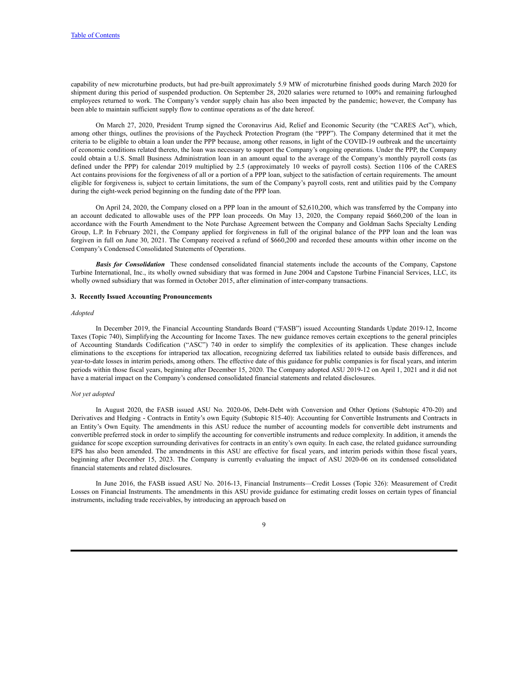capability of new microturbine products, but had pre-built approximately 5.9 MW of microturbine finished goods during March 2020 for shipment during this period of suspended production. On September 28, 2020 salaries were returned to 100% and remaining furloughed employees returned to work. The Company's vendor supply chain has also been impacted by the pandemic; however, the Company has been able to maintain sufficient supply flow to continue operations as of the date hereof.

On March 27, 2020, President Trump signed the Coronavirus Aid, Relief and Economic Security (the "CARES Act"), which, among other things, outlines the provisions of the Paycheck Protection Program (the "PPP"). The Company determined that it met the criteria to be eligible to obtain a loan under the PPP because, among other reasons, in light of the COVID-19 outbreak and the uncertainty of economic conditions related thereto, the loan was necessary to support the Company's ongoing operations. Under the PPP, the Company could obtain a U.S. Small Business Administration loan in an amount equal to the average of the Company's monthly payroll costs (as defined under the PPP) for calendar 2019 multiplied by 2.5 (approximately 10 weeks of payroll costs). Section 1106 of the CARES Act contains provisions for the forgiveness of all or a portion of a PPP loan, subject to the satisfaction of certain requirements. The amount eligible for forgiveness is, subject to certain limitations, the sum of the Company's payroll costs, rent and utilities paid by the Company during the eight-week period beginning on the funding date of the PPP loan.

On April 24, 2020, the Company closed on a PPP loan in the amount of \$2,610,200, which was transferred by the Company into an account dedicated to allowable uses of the PPP loan proceeds. On May 13, 2020, the Company repaid \$660,200 of the loan in accordance with the Fourth Amendment to the Note Purchase Agreement between the Company and Goldman Sachs Specialty Lending Group, L.P. In February 2021, the Company applied for forgiveness in full of the original balance of the PPP loan and the loan was forgiven in full on June 30, 2021. The Company received a refund of \$660,200 and recorded these amounts within other income on the Company's Condensed Consolidated Statements of Operations.

*Basis for Consolidation* These condensed consolidated financial statements include the accounts of the Company, Capstone Turbine International, Inc., its wholly owned subsidiary that was formed in June 2004 and Capstone Turbine Financial Services, LLC, its wholly owned subsidiary that was formed in October 2015, after elimination of inter-company transactions.

## **3. Recently Issued Accounting Pronouncements**

#### *Adopted*

In December 2019, the Financial Accounting Standards Board ("FASB") issued Accounting Standards Update 2019-12, Income Taxes (Topic 740), Simplifying the Accounting for Income Taxes. The new guidance removes certain exceptions to the general principles of Accounting Standards Codification ("ASC") 740 in order to simplify the complexities of its application. These changes include eliminations to the exceptions for intraperiod tax allocation, recognizing deferred tax liabilities related to outside basis differences, and year-to-date losses in interim periods, among others. The effective date of this guidance for public companies is for fiscal years, and interim periods within those fiscal years, beginning after December 15, 2020. The Company adopted ASU 2019-12 on April 1, 2021 and it did not have a material impact on the Company's condensed consolidated financial statements and related disclosures.

#### *Not yet adopted*

In August 2020, the FASB issued ASU No. 2020-06, Debt-Debt with Conversion and Other Options (Subtopic 470-20) and Derivatives and Hedging - Contracts in Entity's own Equity (Subtopic 815-40): Accounting for Convertible Instruments and Contracts in an Entity's Own Equity. The amendments in this ASU reduce the number of accounting models for convertible debt instruments and convertible preferred stock in order to simplify the accounting for convertible instruments and reduce complexity. In addition, it amends the guidance for scope exception surrounding derivatives for contracts in an entity's own equity. In each case, the related guidance surrounding EPS has also been amended. The amendments in this ASU are effective for fiscal years, and interim periods within those fiscal years, beginning after December 15, 2023. The Company is currently evaluating the impact of ASU 2020-06 on its condensed consolidated financial statements and related disclosures.

In June 2016, the FASB issued ASU No. 2016-13, Financial Instruments—Credit Losses (Topic 326): Measurement of Credit Losses on Financial Instruments. The amendments in this ASU provide guidance for estimating credit losses on certain types of financial instruments, including trade receivables, by introducing an approach based on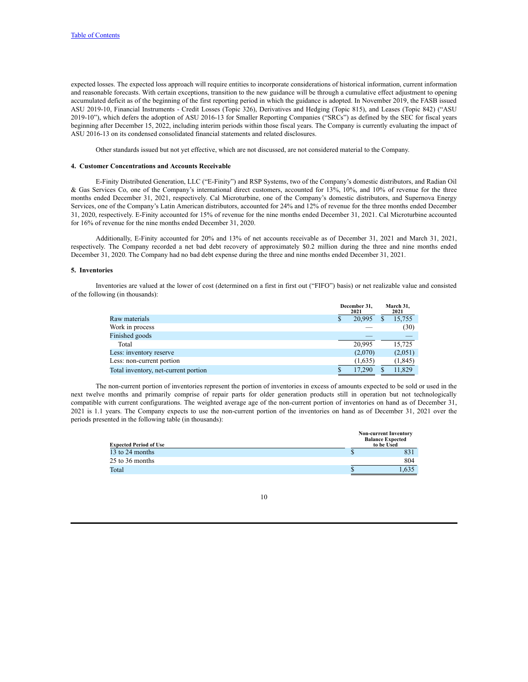expected losses. The expected loss approach will require entities to incorporate considerations of historical information, current information and reasonable forecasts. With certain exceptions, transition to the new guidance will be through a cumulative effect adjustment to opening accumulated deficit as of the beginning of the first reporting period in which the guidance is adopted. In November 2019, the FASB issued ASU 2019-10, Financial Instruments - Credit Losses (Topic 326), Derivatives and Hedging (Topic 815), and Leases (Topic 842) ("ASU 2019-10"), which defers the adoption of ASU 2016-13 for Smaller Reporting Companies ("SRCs") as defined by the SEC for fiscal years beginning after December 15, 2022, including interim periods within those fiscal years. The Company is currently evaluating the impact of ASU 2016-13 on its condensed consolidated financial statements and related disclosures.

Other standards issued but not yet effective, which are not discussed, are not considered material to the Company.

#### **4. Customer Concentrations and Accounts Receivable**

E-Finity Distributed Generation, LLC ("E-Finity") and RSP Systems, two of the Company's domestic distributors, and Radian Oil & Gas Services Co, one of the Company's international direct customers, accounted for 13%, 10%, and 10% of revenue for the three months ended December 31, 2021, respectively. Cal Microturbine, one of the Company's domestic distributors, and Supernova Energy Services, one of the Company's Latin American distributors, accounted for 24% and 12% of revenue for the three months ended December 31, 2020, respectively. E-Finity accounted for 15% of revenue for the nine months ended December 31, 2021. Cal Microturbine accounted for 16% of revenue for the nine months ended December 31, 2020.

Additionally, E-Finity accounted for 20% and 13% of net accounts receivable as of December 31, 2021 and March 31, 2021, respectively. The Company recorded a net bad debt recovery of approximately \$0.2 million during the three and nine months ended December 31, 2020. The Company had no bad debt expense during the three and nine months ended December 31, 2021.

#### **5. Inventories**

Inventories are valued at the lower of cost (determined on a first in first out ("FIFO") basis) or net realizable value and consisted of the following (in thousands):

|                                      | December 31.<br>2021 |         |   | March 31,<br>2021 |
|--------------------------------------|----------------------|---------|---|-------------------|
| Raw materials                        |                      | 20,995  | S | 15,755            |
| Work in process                      |                      |         |   | (30)              |
| Finished goods                       |                      |         |   |                   |
| Total                                |                      | 20.995  |   | 15.725            |
| Less: inventory reserve              |                      | (2,070) |   | (2,051)           |
| Less: non-current portion            |                      | (1,635) |   | (1, 845)          |
| Total inventory, net-current portion |                      | 17.290  |   | 11,829            |

The non-current portion of inventories represent the portion of inventories in excess of amounts expected to be sold or used in the next twelve months and primarily comprise of repair parts for older generation products still in operation but not technologically compatible with current configurations. The weighted average age of the non-current portion of inventories on hand as of December 31, 2021 is 1.1 years. The Company expects to use the non-current portion of the inventories on hand as of December 31, 2021 over the periods presented in the following table (in thousands):

| <b>Expected Period of Use</b> |  | <b>Non-current Inventory</b><br><b>Balance Expected</b><br>to be Used |
|-------------------------------|--|-----------------------------------------------------------------------|
| 13 to 24 months               |  | 83.                                                                   |
| 25 to 36 months               |  | 804                                                                   |
| Total                         |  | .635                                                                  |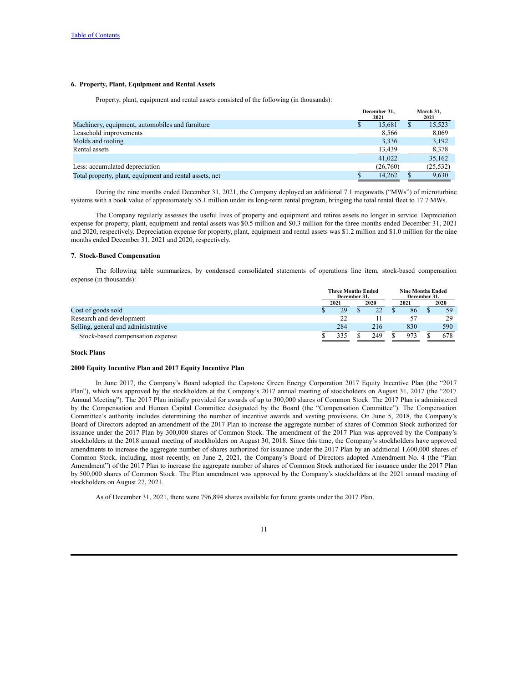#### **6. Property, Plant, Equipment and Rental Assets**

Property, plant, equipment and rental assets consisted of the following (in thousands):

|                                                         | December 31.<br>2021 |          |   | March 31.<br>2021 |
|---------------------------------------------------------|----------------------|----------|---|-------------------|
| Machinery, equipment, automobiles and furniture         |                      | 15.681   | ъ | 15,523            |
| Leasehold improvements                                  |                      | 8.566    |   | 8.069             |
| Molds and tooling                                       |                      | 3,336    |   | 3,192             |
| Rental assets                                           |                      | 13.439   |   | 8,378             |
|                                                         |                      | 41.022   |   | 35,162            |
| Less: accumulated depreciation                          |                      | (26,760) |   | (25, 532)         |
| Total property, plant, equipment and rental assets, net |                      | 14.262   |   | 9,630             |

During the nine months ended December 31, 2021, the Company deployed an additional 7.1 megawatts ("MWs") of microturbine systems with a book value of approximately \$5.1 million under its long-term rental program, bringing the total rental fleet to 17.7 MWs.

The Company regularly assesses the useful lives of property and equipment and retires assets no longer in service. Depreciation expense for property, plant, equipment and rental assets was \$0.5 million and \$0.3 million for the three months ended December 31, 2021 and 2020, respectively. Depreciation expense for property, plant, equipment and rental assets was \$1.2 million and \$1.0 million for the nine months ended December 31, 2021 and 2020, respectively.

#### **7. Stock-Based Compensation**

The following table summarizes, by condensed consolidated statements of operations line item, stock-based compensation expense (in thousands):

|                                     | <b>Three Months Ended</b><br>December 31. |  |      | <b>Nine Months Ended</b><br>December 31. |      |  |      |
|-------------------------------------|-------------------------------------------|--|------|------------------------------------------|------|--|------|
|                                     | 2021                                      |  | 2020 |                                          | 2021 |  | 2020 |
| Cost of goods sold                  | 29                                        |  |      |                                          | 86   |  | 59   |
| Research and development            | າາ                                        |  |      |                                          |      |  | 29   |
| Selling, general and administrative | 284                                       |  | 216  |                                          | 830  |  | 590  |
| Stock-based compensation expense    | 335                                       |  | 249  |                                          | 973  |  | 678  |

## **Stock Plans**

## **2000 Equity Incentive Plan and 2017 Equity Incentive Plan**

In June 2017, the Company's Board adopted the Capstone Green Energy Corporation 2017 Equity Incentive Plan (the "2017 Plan"), which was approved by the stockholders at the Company's 2017 annual meeting of stockholders on August 31, 2017 (the "2017 Annual Meeting"). The 2017 Plan initially provided for awards of up to 300,000 shares of Common Stock. The 2017 Plan is administered by the Compensation and Human Capital Committee designated by the Board (the "Compensation Committee"). The Compensation Committee's authority includes determining the number of incentive awards and vesting provisions. On June 5, 2018, the Company's Board of Directors adopted an amendment of the 2017 Plan to increase the aggregate number of shares of Common Stock authorized for issuance under the 2017 Plan by 300,000 shares of Common Stock. The amendment of the 2017 Plan was approved by the Company's stockholders at the 2018 annual meeting of stockholders on August 30, 2018. Since this time, the Company's stockholders have approved amendments to increase the aggregate number of shares authorized for issuance under the 2017 Plan by an additional 1,600,000 shares of Common Stock, including, most recently, on June 2, 2021, the Company's Board of Directors adopted Amendment No. 4 (the "Plan Amendment") of the 2017 Plan to increase the aggregate number of shares of Common Stock authorized for issuance under the 2017 Plan by 500,000 shares of Common Stock. The Plan amendment was approved by the Company's stockholders at the 2021 annual meeting of stockholders on August 27, 2021.

As of December 31, 2021, there were 796,894 shares available for future grants under the 2017 Plan.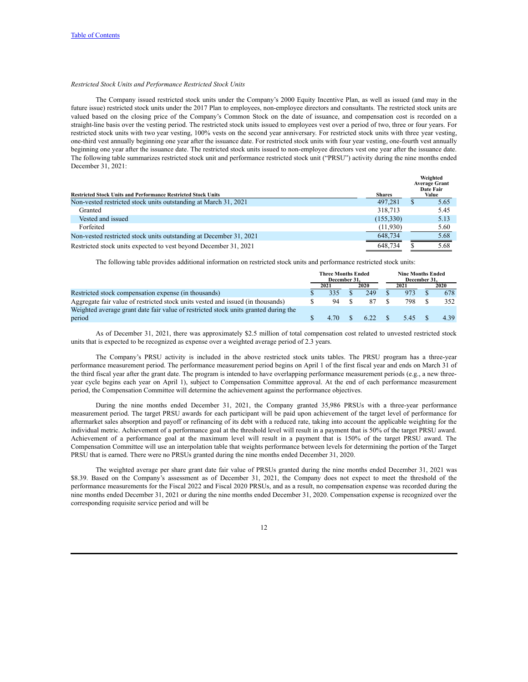#### *Restricted Stock Units and Performance Restricted Stock Units*

The Company issued restricted stock units under the Company's 2000 Equity Incentive Plan, as well as issued (and may in the future issue) restricted stock units under the 2017 Plan to employees, non-employee directors and consultants. The restricted stock units are valued based on the closing price of the Company's Common Stock on the date of issuance, and compensation cost is recorded on a straight-line basis over the vesting period. The restricted stock units issued to employees vest over a period of two, three or four years. For restricted stock units with two year vesting, 100% vests on the second year anniversary. For restricted stock units with three year vesting, one-third vest annually beginning one year after the issuance date. For restricted stock units with four year vesting, one-fourth vest annually beginning one year after the issuance date. The restricted stock units issued to non-employee directors vest one year after the issuance date. The following table summarizes restricted stock unit and performance restricted stock unit ("PRSU") activity during the nine months ended December 31, 2021:

| <b>Restricted Stock Units and Performance Restricted Stock Units</b> | <b>Shares</b> |              | Weighted<br><b>Average Grant</b><br>Date Fair<br>Value |
|----------------------------------------------------------------------|---------------|--------------|--------------------------------------------------------|
| Non-vested restricted stock units outstanding at March 31, 2021      | 497.281       | <sup>S</sup> | 5.65                                                   |
| Granted                                                              | 318.713       |              | 5.45                                                   |
| Vested and issued                                                    | (155, 330)    |              | 5.13                                                   |
| Forfeited                                                            | (11,930)      |              | 5.60                                                   |
| Non-vested restricted stock units outstanding at December 31, 2021   | 648.734       |              | 5.68                                                   |
| Restricted stock units expected to vest beyond December 31, 2021     | 648,734       |              | 5.68                                                   |

The following table provides additional information on restricted stock units and performance restricted stock units:

|                                                                                     | <b>Three Months Ended</b><br>December 31. |  |      | <b>Nine Months Ended</b><br>December 31. |  |       |  |
|-------------------------------------------------------------------------------------|-------------------------------------------|--|------|------------------------------------------|--|-------|--|
|                                                                                     | 2021                                      |  | 2020 | 2021                                     |  | 2020  |  |
| Restricted stock compensation expense (in thousands)                                |                                           |  | 249  | 973                                      |  | 678   |  |
| Aggregate fair value of restricted stock units vested and issued (in thousands)     | 94                                        |  |      | 798                                      |  | 352   |  |
| Weighted average grant date fair value of restricted stock units granted during the |                                           |  |      |                                          |  |       |  |
| period                                                                              |                                           |  | 6.22 | 545                                      |  | 4 3 9 |  |

As of December 31, 2021, there was approximately \$2.5 million of total compensation cost related to unvested restricted stock units that is expected to be recognized as expense over a weighted average period of 2.3 years.

The Company's PRSU activity is included in the above restricted stock units tables. The PRSU program has a three-year performance measurement period. The performance measurement period begins on April 1 of the first fiscal year and ends on March 31 of the third fiscal year after the grant date. The program is intended to have overlapping performance measurement periods (e.g., a new threeyear cycle begins each year on April 1), subject to Compensation Committee approval. At the end of each performance measurement period, the Compensation Committee will determine the achievement against the performance objectives.

During the nine months ended December 31, 2021, the Company granted 35,986 PRSUs with a three-year performance measurement period. The target PRSU awards for each participant will be paid upon achievement of the target level of performance for aftermarket sales absorption and payoff or refinancing of its debt with a reduced rate, taking into account the applicable weighting for the individual metric. Achievement of a performance goal at the threshold level will result in a payment that is 50% of the target PRSU award. Achievement of a performance goal at the maximum level will result in a payment that is 150% of the target PRSU award. The Compensation Committee will use an interpolation table that weights performance between levels for determining the portion of the Target PRSU that is earned. There were no PRSUs granted during the nine months ended December 31, 2020.

The weighted average per share grant date fair value of PRSUs granted during the nine months ended December 31, 2021 was \$8.39. Based on the Company's assessment as of December 31, 2021, the Company does not expect to meet the threshold of the performance measurements for the Fiscal 2022 and Fiscal 2020 PRSUs, and as a result, no compensation expense was recorded during the nine months ended December 31, 2021 or during the nine months ended December 31, 2020. Compensation expense is recognized over the corresponding requisite service period and will be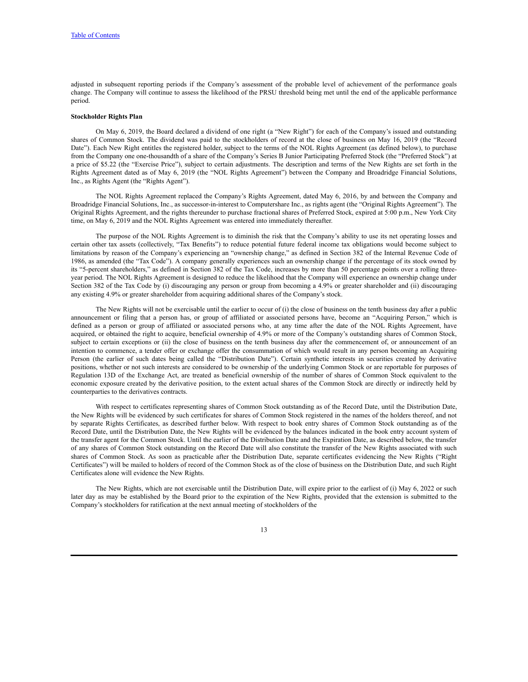adjusted in subsequent reporting periods if the Company's assessment of the probable level of achievement of the performance goals change. The Company will continue to assess the likelihood of the PRSU threshold being met until the end of the applicable performance period.

#### **Stockholder Rights Plan**

On May 6, 2019, the Board declared a dividend of one right (a "New Right") for each of the Company's issued and outstanding shares of Common Stock. The dividend was paid to the stockholders of record at the close of business on May 16, 2019 (the "Record Date"). Each New Right entitles the registered holder, subject to the terms of the NOL Rights Agreement (as defined below), to purchase from the Company one one-thousandth of a share of the Company's Series B Junior Participating Preferred Stock (the "Preferred Stock") at a price of \$5.22 (the "Exercise Price"), subject to certain adjustments. The description and terms of the New Rights are set forth in the Rights Agreement dated as of May 6, 2019 (the "NOL Rights Agreement") between the Company and Broadridge Financial Solutions, Inc., as Rights Agent (the "Rights Agent").

The NOL Rights Agreement replaced the Company's Rights Agreement, dated May 6, 2016, by and between the Company and Broadridge Financial Solutions, Inc., as successor-in-interest to Computershare Inc., as rights agent (the "Original Rights Agreement"). The Original Rights Agreement, and the rights thereunder to purchase fractional shares of Preferred Stock, expired at 5:00 p.m., New York City time, on May 6, 2019 and the NOL Rights Agreement was entered into immediately thereafter.

The purpose of the NOL Rights Agreement is to diminish the risk that the Company's ability to use its net operating losses and certain other tax assets (collectively, "Tax Benefits") to reduce potential future federal income tax obligations would become subject to limitations by reason of the Company's experiencing an "ownership change," as defined in Section 382 of the Internal Revenue Code of 1986, as amended (the "Tax Code"). A company generally experiences such an ownership change if the percentage of its stock owned by its "5-percent shareholders," as defined in Section 382 of the Tax Code, increases by more than 50 percentage points over a rolling threeyear period. The NOL Rights Agreement is designed to reduce the likelihood that the Company will experience an ownership change under Section 382 of the Tax Code by (i) discouraging any person or group from becoming a 4.9% or greater shareholder and (ii) discouraging any existing 4.9% or greater shareholder from acquiring additional shares of the Company's stock.

The New Rights will not be exercisable until the earlier to occur of (i) the close of business on the tenth business day after a public announcement or filing that a person has, or group of affiliated or associated persons have, become an "Acquiring Person," which is defined as a person or group of affiliated or associated persons who, at any time after the date of the NOL Rights Agreement, have acquired, or obtained the right to acquire, beneficial ownership of 4.9% or more of the Company's outstanding shares of Common Stock, subject to certain exceptions or (ii) the close of business on the tenth business day after the commencement of, or announcement of an intention to commence, a tender offer or exchange offer the consummation of which would result in any person becoming an Acquiring Person (the earlier of such dates being called the "Distribution Date"). Certain synthetic interests in securities created by derivative positions, whether or not such interests are considered to be ownership of the underlying Common Stock or are reportable for purposes of Regulation 13D of the Exchange Act, are treated as beneficial ownership of the number of shares of Common Stock equivalent to the economic exposure created by the derivative position, to the extent actual shares of the Common Stock are directly or indirectly held by counterparties to the derivatives contracts.

With respect to certificates representing shares of Common Stock outstanding as of the Record Date, until the Distribution Date, the New Rights will be evidenced by such certificates for shares of Common Stock registered in the names of the holders thereof, and not by separate Rights Certificates, as described further below. With respect to book entry shares of Common Stock outstanding as of the Record Date, until the Distribution Date, the New Rights will be evidenced by the balances indicated in the book entry account system of the transfer agent for the Common Stock. Until the earlier of the Distribution Date and the Expiration Date, as described below, the transfer of any shares of Common Stock outstanding on the Record Date will also constitute the transfer of the New Rights associated with such shares of Common Stock. As soon as practicable after the Distribution Date, separate certificates evidencing the New Rights ("Right Certificates") will be mailed to holders of record of the Common Stock as of the close of business on the Distribution Date, and such Right Certificates alone will evidence the New Rights.

The New Rights, which are not exercisable until the Distribution Date, will expire prior to the earliest of (i) May 6, 2022 or such later day as may be established by the Board prior to the expiration of the New Rights, provided that the extension is submitted to the Company's stockholders for ratification at the next annual meeting of stockholders of the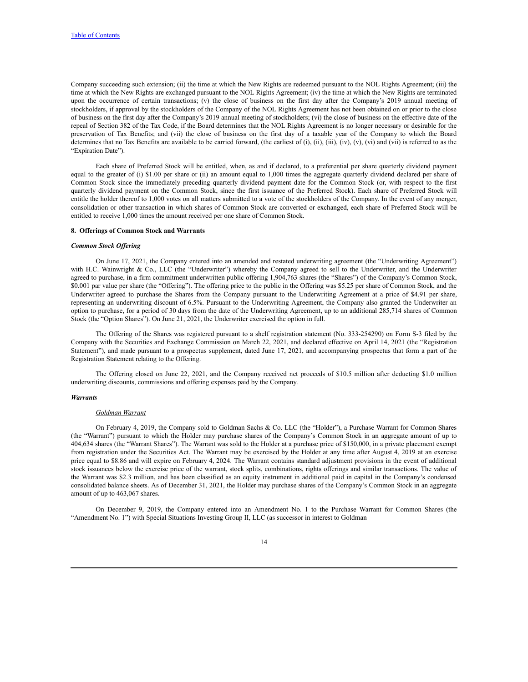Company succeeding such extension; (ii) the time at which the New Rights are redeemed pursuant to the NOL Rights Agreement; (iii) the time at which the New Rights are exchanged pursuant to the NOL Rights Agreement; (iv) the time at which the New Rights are terminated upon the occurrence of certain transactions; (v) the close of business on the first day after the Company's 2019 annual meeting of stockholders, if approval by the stockholders of the Company of the NOL Rights Agreement has not been obtained on or prior to the close of business on the first day after the Company's 2019 annual meeting of stockholders; (vi) the close of business on the effective date of the repeal of Section 382 of the Tax Code, if the Board determines that the NOL Rights Agreement is no longer necessary or desirable for the preservation of Tax Benefits; and (vii) the close of business on the first day of a taxable year of the Company to which the Board determines that no Tax Benefits are available to be carried forward, (the earliest of  $(i)$ ,  $(ii)$ ,  $(iii)$ ,  $(iv)$ ,  $(v)$ ,  $(v)$  and  $(vii)$  is referred to as the "Expiration Date").

Each share of Preferred Stock will be entitled, when, as and if declared, to a preferential per share quarterly dividend payment equal to the greater of (i) \$1.00 per share or (ii) an amount equal to 1,000 times the aggregate quarterly dividend declared per share of Common Stock since the immediately preceding quarterly dividend payment date for the Common Stock (or, with respect to the first quarterly dividend payment on the Common Stock, since the first issuance of the Preferred Stock). Each share of Preferred Stock will entitle the holder thereof to 1,000 votes on all matters submitted to a vote of the stockholders of the Company. In the event of any merger, consolidation or other transaction in which shares of Common Stock are converted or exchanged, each share of Preferred Stock will be entitled to receive 1,000 times the amount received per one share of Common Stock.

#### **8. Offerings of Common Stock and Warrants**

#### *Common Stock Of ering*

On June 17, 2021, the Company entered into an amended and restated underwriting agreement (the "Underwriting Agreement") with H.C. Wainwright & Co., LLC (the "Underwriter") whereby the Company agreed to sell to the Underwriter, and the Underwriter agreed to purchase, in a firm commitment underwritten public offering 1,904,763 shares (the "Shares") of the Company's Common Stock, \$0.001 par value per share (the "Offering"). The offering price to the public in the Offering was \$5.25 per share of Common Stock, and the Underwriter agreed to purchase the Shares from the Company pursuant to the Underwriting Agreement at a price of \$4.91 per share, representing an underwriting discount of 6.5%. Pursuant to the Underwriting Agreement, the Company also granted the Underwriter an option to purchase, for a period of 30 days from the date of the Underwriting Agreement, up to an additional 285,714 shares of Common Stock (the "Option Shares"). On June 21, 2021, the Underwriter exercised the option in full.

The Offering of the Shares was registered pursuant to a shelf registration statement (No. 333-254290) on Form S-3 filed by the Company with the Securities and Exchange Commission on March 22, 2021, and declared effective on April 14, 2021 (the "Registration Statement"), and made pursuant to a prospectus supplement, dated June 17, 2021, and accompanying prospectus that form a part of the Registration Statement relating to the Offering.

The Offering closed on June 22, 2021, and the Company received net proceeds of \$10.5 million after deducting \$1.0 million underwriting discounts, commissions and offering expenses paid by the Company.

## *Warrants*

## *Goldman Warrant*

On February 4, 2019, the Company sold to Goldman Sachs & Co. LLC (the "Holder"), a Purchase Warrant for Common Shares (the "Warrant") pursuant to which the Holder may purchase shares of the Company's Common Stock in an aggregate amount of up to 404,634 shares (the "Warrant Shares"). The Warrant was sold to the Holder at a purchase price of \$150,000, in a private placement exempt from registration under the Securities Act. The Warrant may be exercised by the Holder at any time after August 4, 2019 at an exercise price equal to \$8.86 and will expire on February 4, 2024. The Warrant contains standard adjustment provisions in the event of additional stock issuances below the exercise price of the warrant, stock splits, combinations, rights offerings and similar transactions. The value of the Warrant was \$2.3 million, and has been classified as an equity instrument in additional paid in capital in the Company's condensed consolidated balance sheets. As of December 31, 2021, the Holder may purchase shares of the Company's Common Stock in an aggregate amount of up to 463,067 shares.

On December 9, 2019, the Company entered into an Amendment No. 1 to the Purchase Warrant for Common Shares (the "Amendment No. 1") with Special Situations Investing Group II, LLC (as successor in interest to Goldman

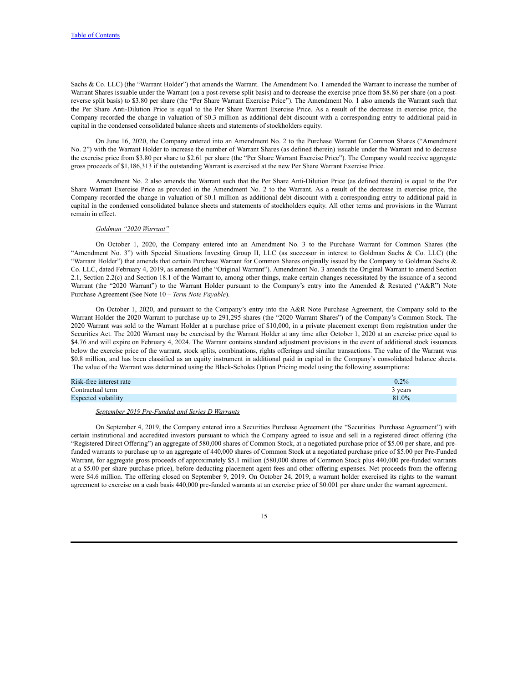Sachs & Co. LLC) (the "Warrant Holder") that amends the Warrant. The Amendment No. 1 amended the Warrant to increase the number of Warrant Shares issuable under the Warrant (on a post-reverse split basis) and to decrease the exercise price from \$8.86 per share (on a postreverse split basis) to \$3.80 per share (the "Per Share Warrant Exercise Price"). The Amendment No. 1 also amends the Warrant such that the Per Share Anti-Dilution Price is equal to the Per Share Warrant Exercise Price. As a result of the decrease in exercise price, the Company recorded the change in valuation of \$0.3 million as additional debt discount with a corresponding entry to additional paid-in capital in the condensed consolidated balance sheets and statements of stockholders equity.

On June 16, 2020, the Company entered into an Amendment No. 2 to the Purchase Warrant for Common Shares ("Amendment No. 2") with the Warrant Holder to increase the number of Warrant Shares (as defined therein) issuable under the Warrant and to decrease the exercise price from \$3.80 per share to \$2.61 per share (the "Per Share Warrant Exercise Price"). The Company would receive aggregate gross proceeds of \$1,186,313 if the outstanding Warrant is exercised at the new Per Share Warrant Exercise Price.

Amendment No. 2 also amends the Warrant such that the Per Share Anti-Dilution Price (as defined therein) is equal to the Per Share Warrant Exercise Price as provided in the Amendment No. 2 to the Warrant. As a result of the decrease in exercise price, the Company recorded the change in valuation of \$0.1 million as additional debt discount with a corresponding entry to additional paid in capital in the condensed consolidated balance sheets and statements of stockholders equity. All other terms and provisions in the Warrant remain in effect.

## *Goldman "2020 Warrant"*

On October 1, 2020, the Company entered into an Amendment No. 3 to the Purchase Warrant for Common Shares (the "Amendment No. 3") with Special Situations Investing Group II, LLC (as successor in interest to Goldman Sachs & Co. LLC) (the "Warrant Holder") that amends that certain Purchase Warrant for Common Shares originally issued by the Company to Goldman Sachs & Co. LLC, dated February 4, 2019, as amended (the "Original Warrant"). Amendment No. 3 amends the Original Warrant to amend Section 2.1, Section 2.2(c) and Section 18.1 of the Warrant to, among other things, make certain changes necessitated by the issuance of a second Warrant (the "2020 Warrant") to the Warrant Holder pursuant to the Company's entry into the Amended & Restated ("A&R") Note Purchase Agreement (See Note 10 – *Term Note Payable*).

On October 1, 2020, and pursuant to the Company's entry into the A&R Note Purchase Agreement, the Company sold to the Warrant Holder the 2020 Warrant to purchase up to 291,295 shares (the "2020 Warrant Shares") of the Company's Common Stock. The 2020 Warrant was sold to the Warrant Holder at a purchase price of \$10,000, in a private placement exempt from registration under the Securities Act. The 2020 Warrant may be exercised by the Warrant Holder at any time after October 1, 2020 at an exercise price equal to \$4.76 and will expire on February 4, 2024. The Warrant contains standard adjustment provisions in the event of additional stock issuances below the exercise price of the warrant, stock splits, combinations, rights offerings and similar transactions. The value of the Warrant was \$0.8 million, and has been classified as an equity instrument in additional paid in capital in the Company's consolidated balance sheets. The value of the Warrant was determined using the Black-Scholes Option Pricing model using the following assumptions:

| Risk-free interest rate | $0.2\%$ |
|-------------------------|---------|
| Contractual term        | 3 years |
| Expected volatility     | 81.0%   |

*September 2019 Pre-Funded and Series D Warrants*

On September 4, 2019, the Company entered into a Securities Purchase Agreement (the "Securities Purchase Agreement") with certain institutional and accredited investors pursuant to which the Company agreed to issue and sell in a registered direct offering (the "Registered Direct Offering") an aggregate of 580,000 shares of Common Stock, at a negotiated purchase price of \$5.00 per share, and prefunded warrants to purchase up to an aggregate of 440,000 shares of Common Stock at a negotiated purchase price of \$5.00 per Pre-Funded Warrant, for aggregate gross proceeds of approximately \$5.1 million (580,000 shares of Common Stock plus 440,000 pre-funded warrants at a \$5.00 per share purchase price), before deducting placement agent fees and other offering expenses. Net proceeds from the offering were \$4.6 million. The offering closed on September 9, 2019. On October 24, 2019, a warrant holder exercised its rights to the warrant agreement to exercise on a cash basis 440,000 pre-funded warrants at an exercise price of \$0.001 per share under the warrant agreement.

<sup>15</sup>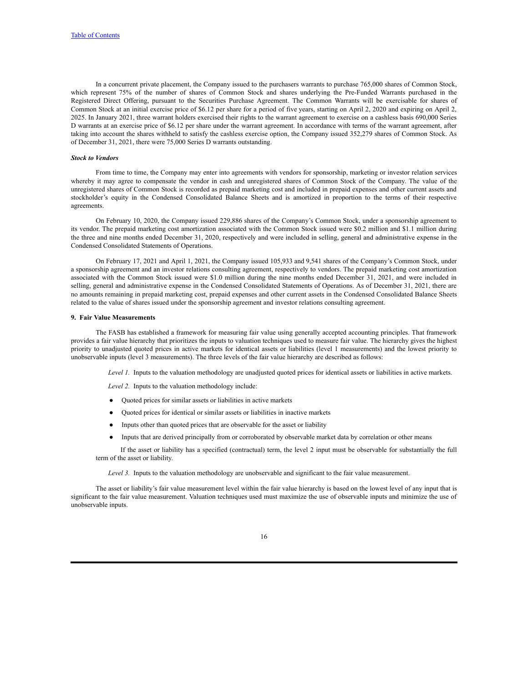In a concurrent private placement, the Company issued to the purchasers warrants to purchase 765,000 shares of Common Stock, which represent 75% of the number of shares of Common Stock and shares underlying the Pre-Funded Warrants purchased in the Registered Direct Offering, pursuant to the Securities Purchase Agreement. The Common Warrants will be exercisable for shares of Common Stock at an initial exercise price of \$6.12 per share for a period of five years, starting on April 2, 2020 and expiring on April 2, 2025. In January 2021, three warrant holders exercised their rights to the warrant agreement to exercise on a cashless basis 690,000 Series D warrants at an exercise price of \$6.12 per share under the warrant agreement. In accordance with terms of the warrant agreement, after taking into account the shares withheld to satisfy the cashless exercise option, the Company issued 352,279 shares of Common Stock. As of December 31, 2021, there were 75,000 Series D warrants outstanding.

#### *Stock to Vendors*

From time to time, the Company may enter into agreements with vendors for sponsorship, marketing or investor relation services whereby it may agree to compensate the vendor in cash and unregistered shares of Common Stock of the Company. The value of the unregistered shares of Common Stock is recorded as prepaid marketing cost and included in prepaid expenses and other current assets and stockholder's equity in the Condensed Consolidated Balance Sheets and is amortized in proportion to the terms of their respective agreements.

On February 10, 2020, the Company issued 229,886 shares of the Company's Common Stock, under a sponsorship agreement to its vendor. The prepaid marketing cost amortization associated with the Common Stock issued were \$0.2 million and \$1.1 million during the three and nine months ended December 31, 2020, respectively and were included in selling, general and administrative expense in the Condensed Consolidated Statements of Operations.

On February 17, 2021 and April 1, 2021, the Company issued 105,933 and 9,541 shares of the Company's Common Stock, under a sponsorship agreement and an investor relations consulting agreement, respectively to vendors. The prepaid marketing cost amortization associated with the Common Stock issued were \$1.0 million during the nine months ended December 31, 2021, and were included in selling, general and administrative expense in the Condensed Consolidated Statements of Operations. As of December 31, 2021, there are no amounts remaining in prepaid marketing cost, prepaid expenses and other current assets in the Condensed Consolidated Balance Sheets related to the value of shares issued under the sponsorship agreement and investor relations consulting agreement.

#### **9. Fair Value Measurements**

The FASB has established a framework for measuring fair value using generally accepted accounting principles. That framework provides a fair value hierarchy that prioritizes the inputs to valuation techniques used to measure fair value. The hierarchy gives the highest priority to unadjusted quoted prices in active markets for identical assets or liabilities (level 1 measurements) and the lowest priority to unobservable inputs (level 3 measurements). The three levels of the fair value hierarchy are described as follows:

*Level 1.* Inputs to the valuation methodology are unadjusted quoted prices for identical assets or liabilities in active markets.

*Level 2.* Inputs to the valuation methodology include:

- Quoted prices for similar assets or liabilities in active markets
- Quoted prices for identical or similar assets or liabilities in inactive markets
- Inputs other than quoted prices that are observable for the asset or liability
- Inputs that are derived principally from or corroborated by observable market data by correlation or other means

If the asset or liability has a specified (contractual) term, the level 2 input must be observable for substantially the full term of the asset or liability.

*Level* 3. Inputs to the valuation methodology are unobservable and significant to the fair value measurement.

The asset or liability's fair value measurement level within the fair value hierarchy is based on the lowest level of any input that is significant to the fair value measurement. Valuation techniques used must maximize the use of observable inputs and minimize the use of unobservable inputs.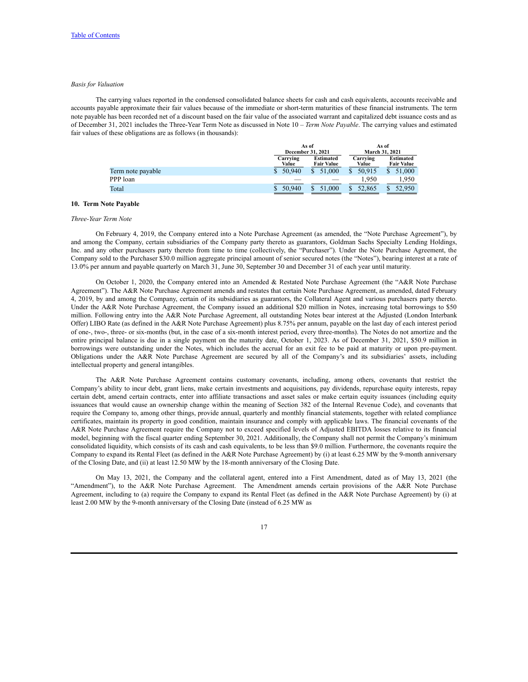## *Basis for Valuation*

The carrying values reported in the condensed consolidated balance sheets for cash and cash equivalents, accounts receivable and accounts payable approximate their fair values because of the immediate or short-term maturities of these financial instruments. The term note payable has been recorded net of a discount based on the fair value of the associated warrant and capitalized debt issuance costs and as of December 31, 2021 includes the Three-Year Term Note as discussed in Note 10 – *Term Note Payable*. The carrying values and estimated fair values of these obligations are as follows (in thousands):

|                   |        |                                                                            | As of<br><b>March 31, 2021</b>        |
|-------------------|--------|----------------------------------------------------------------------------|---------------------------------------|
| Carrying<br>Value |        | Carrying<br>Value                                                          | <b>Estimated</b><br><b>Fair Value</b> |
| 50.940            | 51,000 | 50.915<br>S                                                                | 51,000                                |
|                   |        | 1.950                                                                      | 1.950                                 |
| 50.940            | 51.000 | 52.865                                                                     | 52.950                                |
|                   |        | As of<br><b>December 31, 2021</b><br><b>Estimated</b><br><b>Fair Value</b> |                                       |

#### **10. Term Note Payable**

### *Three-Year Term Note*

On February 4, 2019, the Company entered into a Note Purchase Agreement (as amended, the "Note Purchase Agreement"), by and among the Company, certain subsidiaries of the Company party thereto as guarantors, Goldman Sachs Specialty Lending Holdings, Inc. and any other purchasers party thereto from time to time (collectively, the "Purchaser"). Under the Note Purchase Agreement, the Company sold to the Purchaser \$30.0 million aggregate principal amount of senior secured notes (the "Notes"), bearing interest at a rate of 13.0% per annum and payable quarterly on March 31, June 30, September 30 and December 31 of each year until maturity.

On October 1, 2020, the Company entered into an Amended & Restated Note Purchase Agreement (the "A&R Note Purchase Agreement"). The A&R Note Purchase Agreement amends and restates that certain Note Purchase Agreement, as amended, dated February 4, 2019, by and among the Company, certain of its subsidiaries as guarantors, the Collateral Agent and various purchasers party thereto. Under the A&R Note Purchase Agreement, the Company issued an additional \$20 million in Notes, increasing total borrowings to \$50 million. Following entry into the A&R Note Purchase Agreement, all outstanding Notes bear interest at the Adjusted (London Interbank Offer) LIBO Rate (as defined in the A&R Note Purchase Agreement) plus 8.75% per annum, payable on the last day of each interest period of one-, two-, three- or six-months (but, in the case of a six-month interest period, every three-months). The Notes do not amortize and the entire principal balance is due in a single payment on the maturity date, October 1, 2023. As of December 31, 2021, \$50.9 million in borrowings were outstanding under the Notes, which includes the accrual for an exit fee to be paid at maturity or upon pre-payment. Obligations under the A&R Note Purchase Agreement are secured by all of the Company's and its subsidiaries' assets, including intellectual property and general intangibles.

The A&R Note Purchase Agreement contains customary covenants, including, among others, covenants that restrict the Company's ability to incur debt, grant liens, make certain investments and acquisitions, pay dividends, repurchase equity interests, repay certain debt, amend certain contracts, enter into affiliate transactions and asset sales or make certain equity issuances (including equity issuances that would cause an ownership change within the meaning of Section 382 of the Internal Revenue Code), and covenants that require the Company to, among other things, provide annual, quarterly and monthly financial statements, together with related compliance certificates, maintain its property in good condition, maintain insurance and comply with applicable laws. The financial covenants of the A&R Note Purchase Agreement require the Company not to exceed specified levels of Adjusted EBITDA losses relative to its financial model, beginning with the fiscal quarter ending September 30, 2021. Additionally, the Company shall not permit the Company's minimum consolidated liquidity, which consists of its cash and cash equivalents, to be less than \$9.0 million. Furthermore, the covenants require the Company to expand its Rental Fleet (as defined in the A&R Note Purchase Agreement) by (i) at least 6.25 MW by the 9-month anniversary of the Closing Date, and (ii) at least 12.50 MW by the 18-month anniversary of the Closing Date.

On May 13, 2021, the Company and the collateral agent, entered into a First Amendment, dated as of May 13, 2021 (the "Amendment"), to the A&R Note Purchase Agreement. The Amendment amends certain provisions of the A&R Note Purchase Agreement, including to (a) require the Company to expand its Rental Fleet (as defined in the A&R Note Purchase Agreement) by (i) at least 2.00 MW by the 9-month anniversary of the Closing Date (instead of 6.25 MW as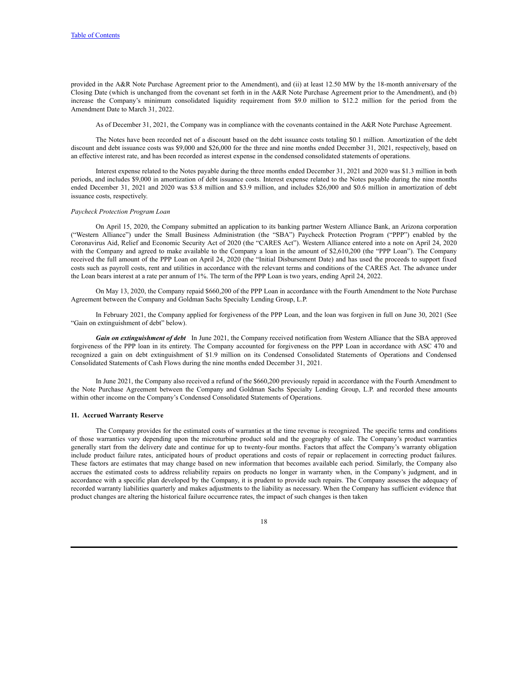provided in the A&R Note Purchase Agreement prior to the Amendment), and (ii) at least 12.50 MW by the 18-month anniversary of the Closing Date (which is unchanged from the covenant set forth in in the A&R Note Purchase Agreement prior to the Amendment), and (b) increase the Company's minimum consolidated liquidity requirement from \$9.0 million to \$12.2 million for the period from the Amendment Date to March 31, 2022.

As of December 31, 2021, the Company was in compliance with the covenants contained in the A&R Note Purchase Agreement.

The Notes have been recorded net of a discount based on the debt issuance costs totaling \$0.1 million. Amortization of the debt discount and debt issuance costs was \$9,000 and \$26,000 for the three and nine months ended December 31, 2021, respectively, based on an effective interest rate, and has been recorded as interest expense in the condensed consolidated statements of operations.

Interest expense related to the Notes payable during the three months ended December 31, 2021 and 2020 was \$1.3 million in both periods, and includes \$9,000 in amortization of debt issuance costs. Interest expense related to the Notes payable during the nine months ended December 31, 2021 and 2020 was \$3.8 million and \$3.9 million, and includes \$26,000 and \$0.6 million in amortization of debt issuance costs, respectively.

## *Paycheck Protection Program Loan*

On April 15, 2020, the Company submitted an application to its banking partner Western Alliance Bank, an Arizona corporation ("Western Alliance") under the Small Business Administration (the "SBA") Paycheck Protection Program ("PPP") enabled by the Coronavirus Aid, Relief and Economic Security Act of 2020 (the "CARES Act"). Western Alliance entered into a note on April 24, 2020 with the Company and agreed to make available to the Company a loan in the amount of \$2,610,200 (the "PPP Loan"). The Company received the full amount of the PPP Loan on April 24, 2020 (the "Initial Disbursement Date) and has used the proceeds to support fixed costs such as payroll costs, rent and utilities in accordance with the relevant terms and conditions of the CARES Act. The advance under the Loan bears interest at a rate per annum of 1%. The term of the PPP Loan is two years, ending April 24, 2022.

On May 13, 2020, the Company repaid \$660,200 of the PPP Loan in accordance with the Fourth Amendment to the Note Purchase Agreement between the Company and Goldman Sachs Specialty Lending Group, L.P.

In February 2021, the Company applied for forgiveness of the PPP Loan, and the loan was forgiven in full on June 30, 2021 (See "Gain on extinguishment of debt" below).

*Gain on extinguishment of debt* In June 2021, the Company received notification from Western Alliance that the SBA approved forgiveness of the PPP loan in its entirety. The Company accounted for forgiveness on the PPP Loan in accordance with ASC 470 and recognized a gain on debt extinguishment of \$1.9 million on its Condensed Consolidated Statements of Operations and Condensed Consolidated Statements of Cash Flows during the nine months ended December 31, 2021.

In June 2021, the Company also received a refund of the \$660,200 previously repaid in accordance with the Fourth Amendment to the Note Purchase Agreement between the Company and Goldman Sachs Specialty Lending Group, L.P. and recorded these amounts within other income on the Company's Condensed Consolidated Statements of Operations.

#### **11. Accrued Warranty Reserve**

The Company provides for the estimated costs of warranties at the time revenue is recognized. The specific terms and conditions of those warranties vary depending upon the microturbine product sold and the geography of sale. The Company's product warranties generally start from the delivery date and continue for up to twenty-four months. Factors that affect the Company's warranty obligation include product failure rates, anticipated hours of product operations and costs of repair or replacement in correcting product failures. These factors are estimates that may change based on new information that becomes available each period. Similarly, the Company also accrues the estimated costs to address reliability repairs on products no longer in warranty when, in the Company's judgment, and in accordance with a specific plan developed by the Company, it is prudent to provide such repairs. The Company assesses the adequacy of recorded warranty liabilities quarterly and makes adjustments to the liability as necessary. When the Company has sufficient evidence that product changes are altering the historical failure occurrence rates, the impact of such changes is then taken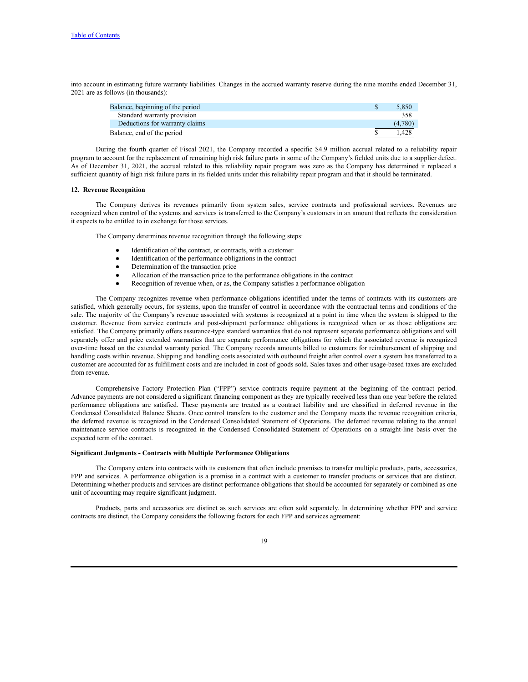into account in estimating future warranty liabilities. Changes in the accrued warranty reserve during the nine months ended December 31, 2021 are as follows (in thousands):

| Balance, beginning of the period | 5.850   |
|----------------------------------|---------|
| Standard warranty provision      | 358     |
| Deductions for warranty claims   | (4.780) |
| Balance, end of the period       | .428    |

During the fourth quarter of Fiscal 2021, the Company recorded a specific \$4.9 million accrual related to a reliability repair program to account for the replacement of remaining high risk failure parts in some of the Company's fielded units due to a supplier defect. As of December 31, 2021, the accrual related to this reliability repair program was zero as the Company has determined it replaced a sufficient quantity of high risk failure parts in its fielded units under this reliability repair program and that it should be terminated.

## **12. Revenue Recognition**

The Company derives its revenues primarily from system sales, service contracts and professional services. Revenues are recognized when control of the systems and services is transferred to the Company's customers in an amount that reflects the consideration it expects to be entitled to in exchange for those services.

The Company determines revenue recognition through the following steps:

- Identification of the contract, or contracts, with a customer
- Identification of the performance obligations in the contract
- Determination of the transaction price
- Allocation of the transaction price to the performance obligations in the contract
- Recognition of revenue when, or as, the Company satisfies a performance obligation

The Company recognizes revenue when performance obligations identified under the terms of contracts with its customers are satisfied, which generally occurs, for systems, upon the transfer of control in accordance with the contractual terms and conditions of the sale. The majority of the Company's revenue associated with systems is recognized at a point in time when the system is shipped to the customer. Revenue from service contracts and post-shipment performance obligations is recognized when or as those obligations are satisfied. The Company primarily offers assurance-type standard warranties that do not represent separate performance obligations and will separately offer and price extended warranties that are separate performance obligations for which the associated revenue is recognized over-time based on the extended warranty period. The Company records amounts billed to customers for reimbursement of shipping and handling costs within revenue. Shipping and handling costs associated with outbound freight after control over a system has transferred to a customer are accounted for as fulfillment costs and are included in cost of goods sold. Sales taxes and other usage-based taxes are excluded from revenue.

Comprehensive Factory Protection Plan ("FPP") service contracts require payment at the beginning of the contract period. Advance payments are not considered a significant financing component as they are typically received less than one year before the related performance obligations are satisfied. These payments are treated as a contract liability and are classified in deferred revenue in the Condensed Consolidated Balance Sheets. Once control transfers to the customer and the Company meets the revenue recognition criteria, the deferred revenue is recognized in the Condensed Consolidated Statement of Operations. The deferred revenue relating to the annual maintenance service contracts is recognized in the Condensed Consolidated Statement of Operations on a straight-line basis over the expected term of the contract.

## **Significant Judgments - Contracts with Multiple Performance Obligations**

The Company enters into contracts with its customers that often include promises to transfer multiple products, parts, accessories, FPP and services. A performance obligation is a promise in a contract with a customer to transfer products or services that are distinct. Determining whether products and services are distinct performance obligations that should be accounted for separately or combined as one unit of accounting may require significant judgment.

Products, parts and accessories are distinct as such services are often sold separately. In determining whether FPP and service contracts are distinct, the Company considers the following factors for each FPP and services agreement:

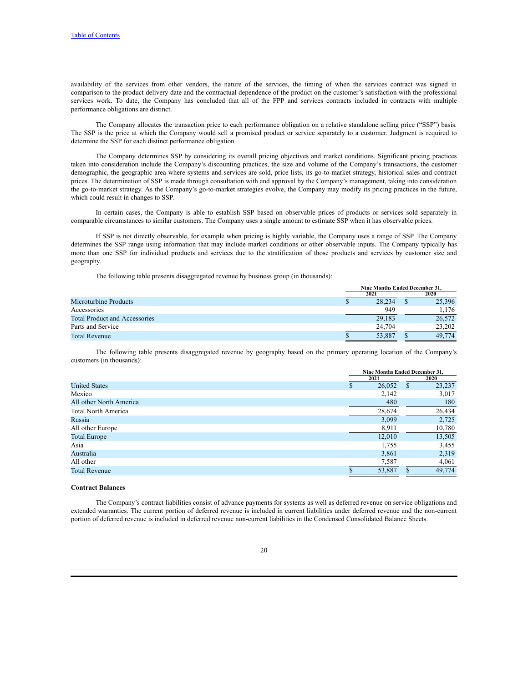availability of the services from other vendors, the nature of the services, the timing of when the services contract was signed in comparison to the product delivery date and the contractual dependence of the product on the customer's satisfaction with the professional services work. To date, the Company has concluded that all of the FPP and services contracts included in contracts with multiple performance obligations are distinct.

The Company allocates the transaction price to each performance obligation on a relative standalone selling price ("SSP") basis. The SSP is the price at which the Company would sell a promised product or service separately to a customer. Judgment is required to determine the SSP for each distinct performance obligation.

The Company determines SSP by considering its overall pricing objectives and market conditions. Significant pricing practices taken into consideration include the Company's discounting practices, the size and volume of the Company's transactions, the customer demographic, the geographic area where systems and services are sold, price lists, its go-to-market strategy, historical sales and contract prices. The determination of SSP is made through consultation with and approval by the Company's management, taking into consideration the go-to-market strategy. As the Company's go-to-market strategies evolve, the Company may modify its pricing practices in the future, which could result in changes to SSP.

In certain cases, the Company is able to establish SSP based on observable prices of products or services sold separately in comparable circumstances to similar customers. The Company uses a single amount to estimate SSP when it has observable prices.

If SSP is not directly observable, for example when pricing is highly variable, the Company uses a range of SSP. The Company determines the SSP range using information that may include market conditions or other observable inputs. The Company typically has more than one SSP for individual products and services due to the stratification of those products and services by customer size and geography.

The following table presents disaggregated revenue by business group (in thousands):

|                                      | Nine Months Ended December 31. |        |  |        |
|--------------------------------------|--------------------------------|--------|--|--------|
|                                      | 2021                           |        |  | 2020   |
| Microturbine Products                |                                | 28.234 |  | 25,396 |
| Accessories                          |                                | 949    |  | 1.176  |
| <b>Total Product and Accessories</b> |                                | 29,183 |  | 26,572 |
| Parts and Service                    |                                | 24.704 |  | 23.202 |
| <b>Total Revenue</b>                 |                                | 53.887 |  | 49.774 |

The following table presents disaggregated revenue by geography based on the primary operating location of the Company's customers (in thousands):

|                            | <b>Nine Months Ended December 31.</b> |        |  |  |
|----------------------------|---------------------------------------|--------|--|--|
|                            | 2021                                  | 2020   |  |  |
| <b>United States</b>       | \$<br>26,052<br><sup>\$</sup>         | 23,237 |  |  |
| Mexico                     | 2,142                                 | 3,017  |  |  |
| All other North America    | 480                                   | 180    |  |  |
| <b>Total North America</b> | 28,674                                | 26,434 |  |  |
| Russia                     | 3,099                                 | 2,725  |  |  |
| All other Europe           | 8,911                                 | 10,780 |  |  |
| <b>Total Europe</b>        | 12,010                                | 13,505 |  |  |
| Asia                       | 1,755                                 | 3,455  |  |  |
| Australia                  | 3,861                                 | 2,319  |  |  |
| All other                  | 7,587                                 | 4,061  |  |  |
| <b>Total Revenue</b>       | 53,887                                | 49,774 |  |  |
|                            |                                       |        |  |  |

# **Contract Balances**

The Company's contract liabilities consist of advance payments for systems as well as deferred revenue on service obligations and extended warranties. The current portion of deferred revenue is included in current liabilities under deferred revenue and the non-current portion of deferred revenue is included in deferred revenue non-current liabilities in the Condensed Consolidated Balance Sheets.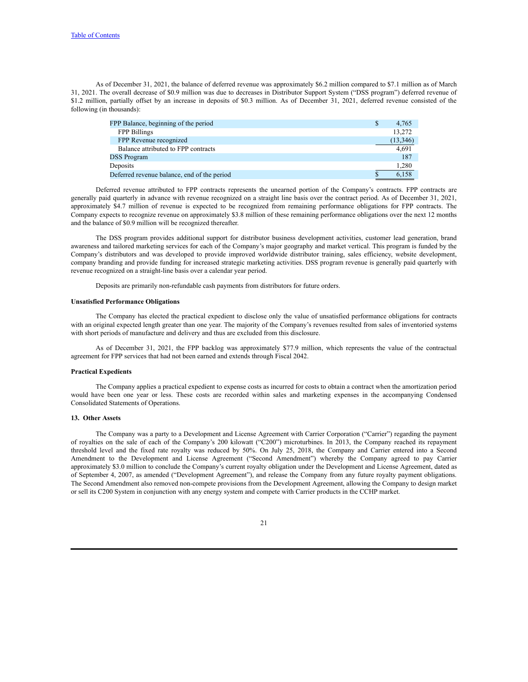As of December 31, 2021, the balance of deferred revenue was approximately \$6.2 million compared to \$7.1 million as of March 31, 2021. The overall decrease of \$0.9 million was due to decreases in Distributor Support System ("DSS program") deferred revenue of \$1.2 million, partially offset by an increase in deposits of \$0.3 million. As of December 31, 2021, deferred revenue consisted of the following (in thousands):

| FPP Balance, beginning of the period        | 4,765    |
|---------------------------------------------|----------|
| <b>FPP Billings</b>                         | 13.272   |
| FPP Revenue recognized                      | (13,346) |
| Balance attributed to FPP contracts         | 4.691    |
| <b>DSS</b> Program                          | 187      |
| Deposits                                    | 1,280    |
| Deferred revenue balance, end of the period | 6.158    |

Deferred revenue attributed to FPP contracts represents the unearned portion of the Company's contracts. FPP contracts are generally paid quarterly in advance with revenue recognized on a straight line basis over the contract period. As of December 31, 2021, approximately \$4.7 million of revenue is expected to be recognized from remaining performance obligations for FPP contracts. The Company expects to recognize revenue on approximately \$3.8 million of these remaining performance obligations over the next 12 months and the balance of \$0.9 million will be recognized thereafter.

The DSS program provides additional support for distributor business development activities, customer lead generation, brand awareness and tailored marketing services for each of the Company's major geography and market vertical. This program is funded by the Company's distributors and was developed to provide improved worldwide distributor training, sales efficiency, website development, company branding and provide funding for increased strategic marketing activities. DSS program revenue is generally paid quarterly with revenue recognized on a straight-line basis over a calendar year period.

Deposits are primarily non-refundable cash payments from distributors for future orders.

#### **Unsatisfied Performance Obligations**

The Company has elected the practical expedient to disclose only the value of unsatisfied performance obligations for contracts with an original expected length greater than one year. The majority of the Company's revenues resulted from sales of inventoried systems with short periods of manufacture and delivery and thus are excluded from this disclosure.

As of December 31, 2021, the FPP backlog was approximately \$77.9 million, which represents the value of the contractual agreement for FPP services that had not been earned and extends through Fiscal 2042.

## **Practical Expedients**

The Company applies a practical expedient to expense costs as incurred for costs to obtain a contract when the amortization period would have been one year or less. These costs are recorded within sales and marketing expenses in the accompanying Condensed Consolidated Statements of Operations.

## **13. Other Assets**

The Company was a party to a Development and License Agreement with Carrier Corporation ("Carrier") regarding the payment of royalties on the sale of each of the Company's 200 kilowatt ("C200") microturbines. In 2013, the Company reached its repayment threshold level and the fixed rate royalty was reduced by 50%. On July 25, 2018, the Company and Carrier entered into a Second Amendment to the Development and License Agreement ("Second Amendment") whereby the Company agreed to pay Carrier approximately \$3.0 million to conclude the Company's current royalty obligation under the Development and License Agreement, dated as of September 4, 2007, as amended ("Development Agreement"), and release the Company from any future royalty payment obligations. The Second Amendment also removed non-compete provisions from the Development Agreement, allowing the Company to design market or sell its C200 System in conjunction with any energy system and compete with Carrier products in the CCHP market.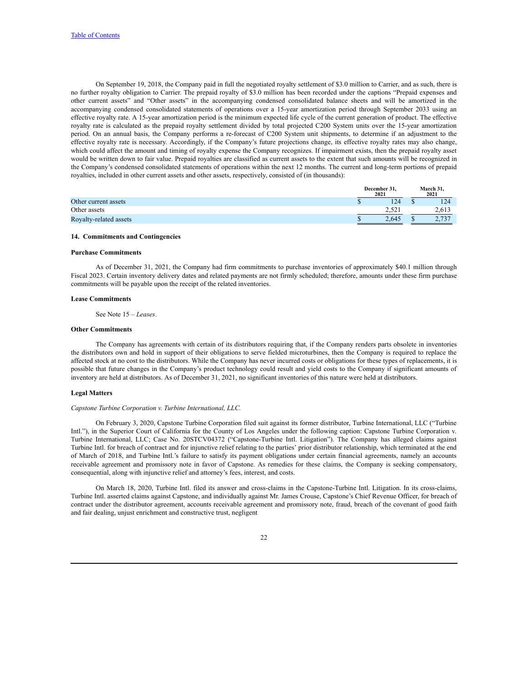On September 19, 2018, the Company paid in full the negotiated royalty settlement of \$3.0 million to Carrier, and as such, there is no further royalty obligation to Carrier. The prepaid royalty of \$3.0 million has been recorded under the captions "Prepaid expenses and other current assets" and "Other assets" in the accompanying condensed consolidated balance sheets and will be amortized in the accompanying condensed consolidated statements of operations over a 15-year amortization period through September 2033 using an effective royalty rate. A 15-year amortization period is the minimum expected life cycle of the current generation of product. The effective royalty rate is calculated as the prepaid royalty settlement divided by total projected C200 System units over the 15-year amortization period. On an annual basis, the Company performs a re-forecast of C200 System unit shipments, to determine if an adjustment to the effective royalty rate is necessary. Accordingly, if the Company's future projections change, its effective royalty rates may also change, which could affect the amount and timing of royalty expense the Company recognizes. If impairment exists, then the prepaid royalty asset would be written down to fair value. Prepaid royalties are classified as current assets to the extent that such amounts will be recognized in the Company's condensed consolidated statements of operations within the next 12 months. The current and long-term portions of prepaid royalties, included in other current assets and other assets, respectively, consisted of (in thousands):

|                        | December 31,<br>2021 | March 31.<br>2021 |  |  |
|------------------------|----------------------|-------------------|--|--|
| Other current assets   | 124                  |                   |  |  |
| Other assets           | າ ເາ<br>لا سارے ک    | 2.613             |  |  |
| Royalty-related assets | 2.645                | 2737              |  |  |
|                        |                      |                   |  |  |

#### **14. Commitments and Contingencies**

#### **Purchase Commitments**

As of December 31, 2021, the Company had firm commitments to purchase inventories of approximately \$40.1 million through Fiscal 2023. Certain inventory delivery dates and related payments are not firmly scheduled; therefore, amounts under these firm purchase commitments will be payable upon the receipt of the related inventories.

## **Lease Commitments**

See Note 15 – *Leases*.

#### **Other Commitments**

The Company has agreements with certain of its distributors requiring that, if the Company renders parts obsolete in inventories the distributors own and hold in support of their obligations to serve fielded microturbines, then the Company is required to replace the affected stock at no cost to the distributors. While the Company has never incurred costs or obligations for these types of replacements, it is possible that future changes in the Company's product technology could result and yield costs to the Company if significant amounts of inventory are held at distributors. As of December 31, 2021, no significant inventories of this nature were held at distributors.

#### **Legal Matters**

## *Capstone Turbine Corporation v. Turbine International, LLC.*

On February 3, 2020, Capstone Turbine Corporation filed suit against its former distributor, Turbine International, LLC ("Turbine Intl."), in the Superior Court of California for the County of Los Angeles under the following caption: Capstone Turbine Corporation v. Turbine International, LLC; Case No. 20STCV04372 ("Capstone-Turbine Intl. Litigation"). The Company has alleged claims against Turbine Intl. for breach of contract and for injunctive relief relating to the parties' prior distributor relationship, which terminated at the end of March of 2018, and Turbine Intl.'s failure to satisfy its payment obligations under certain financial agreements, namely an accounts receivable agreement and promissory note in favor of Capstone. As remedies for these claims, the Company is seeking compensatory, consequential, along with injunctive relief and attorney's fees, interest, and costs.

On March 18, 2020, Turbine Intl. filed its answer and cross-claims in the Capstone-Turbine Intl. Litigation. In its cross-claims, Turbine Intl. asserted claims against Capstone, and individually against Mr. James Crouse, Capstone's Chief Revenue Officer, for breach of contract under the distributor agreement, accounts receivable agreement and promissory note, fraud, breach of the covenant of good faith and fair dealing, unjust enrichment and constructive trust, negligent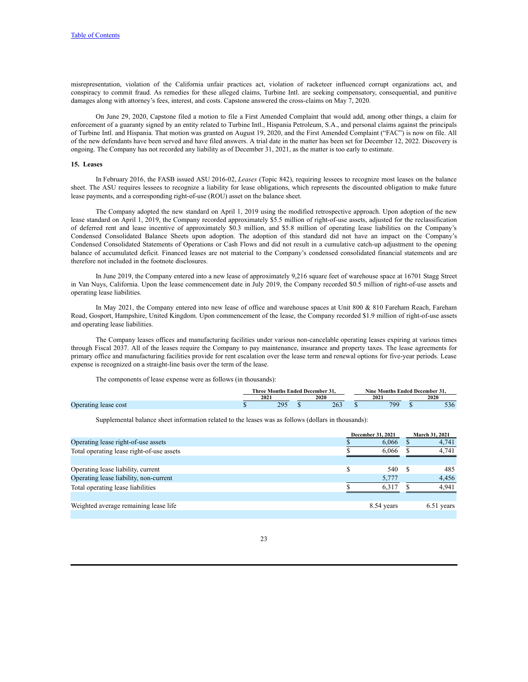misrepresentation, violation of the California unfair practices act, violation of racketeer influenced corrupt organizations act, and conspiracy to commit fraud. As remedies for these alleged claims, Turbine Intl. are seeking compensatory, consequential, and punitive damages along with attorney's fees, interest, and costs. Capstone answered the cross-claims on May 7, 2020.

On June 29, 2020, Capstone filed a motion to file a First Amended Complaint that would add, among other things, a claim for enforcement of a guaranty signed by an entity related to Turbine Intl., Hispania Petroleum, S.A., and personal claims against the principals of Turbine Intl. and Hispania. That motion was granted on August 19, 2020, and the First Amended Complaint ("FAC") is now on file. All of the new defendants have been served and have filed answers. A trial date in the matter has been set for December 12, 2022. Discovery is ongoing. The Company has not recorded any liability as of December 31, 2021, as the matter is too early to estimate.

#### **15. Leases**

In February 2016, the FASB issued ASU 2016-02, *Leases* (Topic 842), requiring lessees to recognize most leases on the balance sheet. The ASU requires lessees to recognize a liability for lease obligations, which represents the discounted obligation to make future lease payments, and a corresponding right-of-use (ROU) asset on the balance sheet.

The Company adopted the new standard on April 1, 2019 using the modified retrospective approach. Upon adoption of the new lease standard on April 1, 2019, the Company recorded approximately \$5.5 million of right-of-use assets, adjusted for the reclassification of deferred rent and lease incentive of approximately \$0.3 million, and \$5.8 million of operating lease liabilities on the Company's Condensed Consolidated Balance Sheets upon adoption. The adoption of this standard did not have an impact on the Company's Condensed Consolidated Statements of Operations or Cash Flows and did not result in a cumulative catch-up adjustment to the opening balance of accumulated deficit. Financed leases are not material to the Company's condensed consolidated financial statements and are therefore not included in the footnote disclosures.

In June 2019, the Company entered into a new lease of approximately 9,216 square feet of warehouse space at 16701 Stagg Street in Van Nuys, California. Upon the lease commencement date in July 2019, the Company recorded \$0.5 million of right-of-use assets and operating lease liabilities.

In May 2021, the Company entered into new lease of office and warehouse spaces at Unit 800 & 810 Fareham Reach, Fareham Road, Gosport, Hampshire, United Kingdom. Upon commencement of the lease, the Company recorded \$1.9 million of right-of-use assets and operating lease liabilities.

The Company leases offices and manufacturing facilities under various non-cancelable operating leases expiring at various times through Fiscal 2037. All of the leases require the Company to pay maintenance, insurance and property taxes. The lease agreements for primary office and manufacturing facilities provide for rent escalation over the lease term and renewal options for five-year periods. Lease expense is recognized on a straight-line basis over the term of the lease.

The components of lease expense were as follows (in thousands):

|                     | hree<br>∵nded .<br>Nine<br>Ended<br>vlonth:<br>December<br>Months |  |      | Jecember |  |               |
|---------------------|-------------------------------------------------------------------|--|------|----------|--|---------------|
|                     | 202                                                               |  | 2020 | 2021     |  | 2020          |
| me<br>cost<br>0.009 | $\Omega$<br>-                                                     |  | ∠∪.  | 700      |  | $330^{\circ}$ |

Supplemental balance sheet information related to the leases was as follows (dollars in thousands):

|                                           |   | <b>December 31, 2021</b> |   | March 31, 2021 |  |
|-------------------------------------------|---|--------------------------|---|----------------|--|
| Operating lease right-of-use assets       |   | 6,066                    |   | 4,741          |  |
| Total operating lease right-of-use assets |   | 6.066                    |   | 4.741          |  |
|                                           |   |                          |   |                |  |
| Operating lease liability, current        | S | 540                      | S | 485            |  |
| Operating lease liability, non-current    |   | 5,777                    |   | 4,456          |  |
| Total operating lease liabilities         |   | 6.317                    |   | 4.941          |  |
|                                           |   |                          |   |                |  |
| Weighted average remaining lease life     |   | 8.54 years               |   | 6.51 years     |  |
|                                           |   |                          |   |                |  |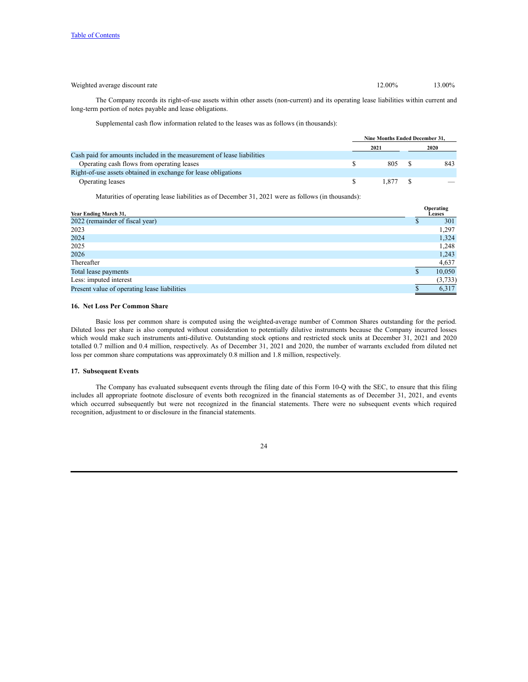# Weighted average discount rate 12.00% 13.00% 13.00% 13.00%

The Company records its right-of-use assets within other assets (non-current) and its operating lease liabilities within current and long-term portion of notes payable and lease obligations.

Supplemental cash flow information related to the leases was as follows (in thousands):

|                                                                        | <b>Nine Months Ended December 31.</b> |  |      |  |
|------------------------------------------------------------------------|---------------------------------------|--|------|--|
|                                                                        | 2021                                  |  | 2020 |  |
| Cash paid for amounts included in the measurement of lease liabilities |                                       |  |      |  |
| Operating cash flows from operating leases                             | 805                                   |  | 843  |  |
| Right-of-use assets obtained in exchange for lease obligations         |                                       |  |      |  |
| Operating leases                                                       |                                       |  |      |  |

Maturities of operating lease liabilities as of December 31, 2021 were as follows (in thousands):

| Year Ending March 31,                        | Operating<br>Leases |
|----------------------------------------------|---------------------|
| 2022 (remainder of fiscal year)              | 301                 |
| 2023                                         | 1,297               |
| 2024                                         | 1,324               |
| 2025                                         | 1,248               |
| 2026                                         | 1,243               |
| Thereafter                                   | 4,637               |
| Total lease payments                         | 10,050              |
| Less: imputed interest                       | (3,733)             |
| Present value of operating lease liabilities | 6,317               |

#### **16. Net Loss Per Common Share**

Basic loss per common share is computed using the weighted-average number of Common Shares outstanding for the period. Diluted loss per share is also computed without consideration to potentially dilutive instruments because the Company incurred losses which would make such instruments anti-dilutive. Outstanding stock options and restricted stock units at December 31, 2021 and 2020 totalled 0.7 million and 0.4 million, respectively. As of December 31, 2021 and 2020, the number of warrants excluded from diluted net loss per common share computations was approximately 0.8 million and 1.8 million, respectively.

## **17. Subsequent Events**

The Company has evaluated subsequent events through the filing date of this Form 10-Q with the SEC, to ensure that this filing includes all appropriate footnote disclosure of events both recognized in the financial statements as of December 31, 2021, and events which occurred subsequently but were not recognized in the financial statements. There were no subsequent events which required recognition, adjustment to or disclosure in the financial statements.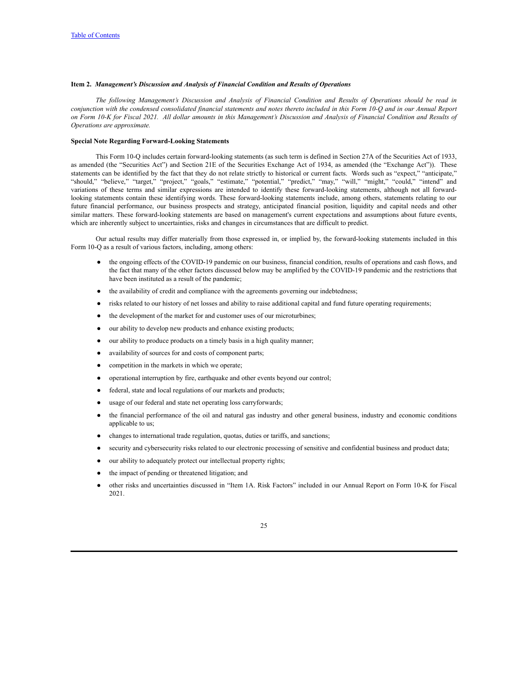#### <span id="page-24-0"></span>**Item 2.** *Management's Discussion and Analysis of Financial Condition and Results of Operations*

The following Management's Discussion and Analysis of Financial Condition and Results of Operations should be read in conjunction with the condensed consolidated financial statements and notes thereto included in this Form 10-Q and in our Annual Report on Form 10-K for Fiscal 2021. All dollar amounts in this Management's Discussion and Analysis of Financial Condition and Results of *Operations are approximate.*

## **Special Note Regarding Forward-Looking Statements**

This Form 10-Q includes certain forward-looking statements (as such term is defined in Section 27A of the Securities Act of 1933, as amended (the "Securities Act") and Section 21E of the Securities Exchange Act of 1934, as amended (the "Exchange Act")). These statements can be identified by the fact that they do not relate strictly to historical or current facts. Words such as "expect," "anticipate," "should," "believe," "target," "project," "goals," "estimate," "potential," "predict," "may," "will," "might," "could," "intend" and variations of these terms and similar expressions are intended to identify these forward-looking statements, although not all forwardlooking statements contain these identifying words. These forward-looking statements include, among others, statements relating to our future financial performance, our business prospects and strategy, anticipated financial position, liquidity and capital needs and other similar matters. These forward-looking statements are based on management's current expectations and assumptions about future events, which are inherently subject to uncertainties, risks and changes in circumstances that are difficult to predict.

Our actual results may differ materially from those expressed in, or implied by, the forward-looking statements included in this Form 10-Q as a result of various factors, including, among others:

- the ongoing effects of the COVID-19 pandemic on our business, financial condition, results of operations and cash flows, and the fact that many of the other factors discussed below may be amplified by the COVID-19 pandemic and the restrictions that have been instituted as a result of the pandemic;
- the availability of credit and compliance with the agreements governing our indebtedness;
- risks related to our history of net losses and ability to raise additional capital and fund future operating requirements;
- the development of the market for and customer uses of our microturbines;
- our ability to develop new products and enhance existing products;
- our ability to produce products on a timely basis in a high quality manner;
- availability of sources for and costs of component parts;
- competition in the markets in which we operate;
- operational interruption by fire, earthquake and other events beyond our control;
- federal, state and local regulations of our markets and products;
- usage of our federal and state net operating loss carryforwards;
- the financial performance of the oil and natural gas industry and other general business, industry and economic conditions applicable to us;
- changes to international trade regulation, quotas, duties or tariffs, and sanctions;
- security and cybersecurity risks related to our electronic processing of sensitive and confidential business and product data;
- our ability to adequately protect our intellectual property rights;
- the impact of pending or threatened litigation; and
- other risks and uncertainties discussed in "Item 1A. Risk Factors" included in our Annual Report on Form 10-K for Fiscal 2021.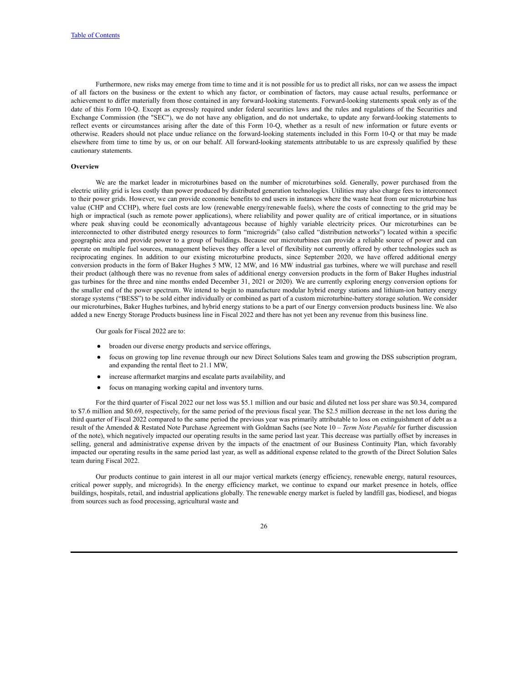Furthermore, new risks may emerge from time to time and it is not possible for us to predict all risks, nor can we assess the impact of all factors on the business or the extent to which any factor, or combination of factors, may cause actual results, performance or achievement to differ materially from those contained in any forward-looking statements. Forward-looking statements speak only as of the date of this Form 10-Q. Except as expressly required under federal securities laws and the rules and regulations of the Securities and Exchange Commission (the "SEC"), we do not have any obligation, and do not undertake, to update any forward-looking statements to reflect events or circumstances arising after the date of this Form 10-Q, whether as a result of new information or future events or otherwise. Readers should not place undue reliance on the forward-looking statements included in this Form 10-Q or that may be made elsewhere from time to time by us, or on our behalf. All forward-looking statements attributable to us are expressly qualified by these cautionary statements.

## **Overview**

We are the market leader in microturbines based on the number of microturbines sold. Generally, power purchased from the electric utility grid is less costly than power produced by distributed generation technologies. Utilities may also charge fees to interconnect to their power grids. However, we can provide economic benefits to end users in instances where the waste heat from our microturbine has value (CHP and CCHP), where fuel costs are low (renewable energy/renewable fuels), where the costs of connecting to the grid may be high or impractical (such as remote power applications), where reliability and power quality are of critical importance, or in situations where peak shaving could be economically advantageous because of highly variable electricity prices. Our microturbines can be interconnected to other distributed energy resources to form "microgrids" (also called "distribution networks") located within a specific geographic area and provide power to a group of buildings. Because our microturbines can provide a reliable source of power and can operate on multiple fuel sources, management believes they offer a level of flexibility not currently offered by other technologies such as reciprocating engines. In addition to our existing microturbine products, since September 2020, we have offered additional energy conversion products in the form of Baker Hughes 5 MW, 12 MW, and 16 MW industrial gas turbines, where we will purchase and resell their product (although there was no revenue from sales of additional energy conversion products in the form of Baker Hughes industrial gas turbines for the three and nine months ended December 31, 2021 or 2020). We are currently exploring energy conversion options for the smaller end of the power spectrum. We intend to begin to manufacture modular hybrid energy stations and lithium-ion battery energy storage systems ("BESS") to be sold either individually or combined as part of a custom microturbine-battery storage solution. We consider our microturbines, Baker Hughes turbines, and hybrid energy stations to be a part of our Energy conversion products business line. We also added a new Energy Storage Products business line in Fiscal 2022 and there has not yet been any revenue from this business line.

Our goals for Fiscal 2022 are to:

- broaden our diverse energy products and service offerings,
- focus on growing top line revenue through our new Direct Solutions Sales team and growing the DSS subscription program, and expanding the rental fleet to 21.1 MW,
- increase aftermarket margins and escalate parts availability, and
- focus on managing working capital and inventory turns.

For the third quarter of Fiscal 2022 our net loss was \$5.1 million and our basic and diluted net loss per share was \$0.34, compared to \$7.6 million and \$0.69, respectively, for the same period of the previous fiscal year. The \$2.5 million decrease in the net loss during the third quarter of Fiscal 2022 compared to the same period the previous year was primarily attributable to loss on extinguishment of debt as a result of the Amended & Restated Note Purchase Agreement with Goldman Sachs (see Note 10 – *Term Note Payable* for further discussion of the note), which negatively impacted our operating results in the same period last year. This decrease was partially offset by increases in selling, general and administrative expense driven by the impacts of the enactment of our Business Continuity Plan, which favorably impacted our operating results in the same period last year, as well as additional expense related to the growth of the Direct Solution Sales team during Fiscal 2022.

Our products continue to gain interest in all our major vertical markets (energy efficiency, renewable energy, natural resources, critical power supply, and microgrids). In the energy efficiency market, we continue to expand our market presence in hotels, office buildings, hospitals, retail, and industrial applications globally. The renewable energy market is fueled by landfill gas, biodiesel, and biogas from sources such as food processing, agricultural waste and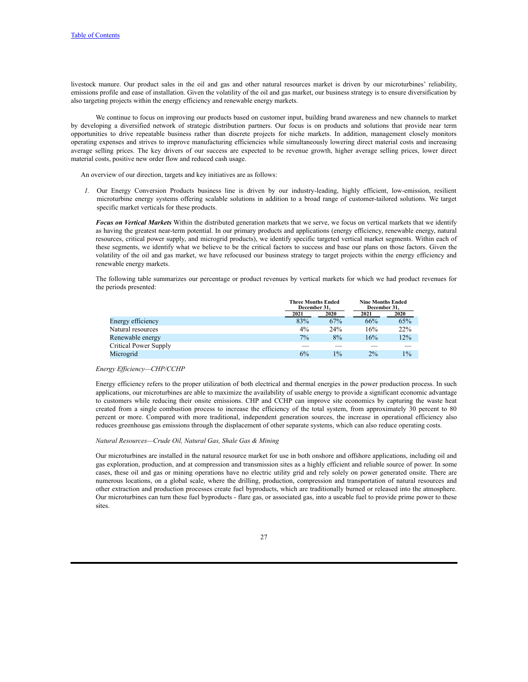livestock manure. Our product sales in the oil and gas and other natural resources market is driven by our microturbines' reliability, emissions profile and ease of installation. Given the volatility of the oil and gas market, our business strategy is to ensure diversification by also targeting projects within the energy efficiency and renewable energy markets.

We continue to focus on improving our products based on customer input, building brand awareness and new channels to market by developing a diversified network of strategic distribution partners. Our focus is on products and solutions that provide near term opportunities to drive repeatable business rather than discrete projects for niche markets. In addition, management closely monitors operating expenses and strives to improve manufacturing efficiencies while simultaneously lowering direct material costs and increasing average selling prices. The key drivers of our success are expected to be revenue growth, higher average selling prices, lower direct material costs, positive new order flow and reduced cash usage.

An overview of our direction, targets and key initiatives are as follows:

*1.* Our Energy Conversion Products business line is driven by our industry-leading, highly efficient, low-emission, resilient microturbine energy systems offering scalable solutions in addition to a broad range of customer-tailored solutions. We target specific market verticals for these products.

*Focus on Vertical Markets* Within the distributed generation markets that we serve, we focus on vertical markets that we identify as having the greatest near-term potential. In our primary products and applications (energy efficiency, renewable energy, natural resources, critical power supply, and microgrid products), we identify specific targeted vertical market segments. Within each of these segments, we identify what we believe to be the critical factors to success and base our plans on those factors. Given the volatility of the oil and gas market, we have refocused our business strategy to target projects within the energy efficiency and renewable energy markets.

The following table summarizes our percentage or product revenues by vertical markets for which we had product revenues for the periods presented:

|                       |      | <b>Three Months Ended</b><br>December 31. |       | <b>Nine Months Ended</b><br>December 31. |
|-----------------------|------|-------------------------------------------|-------|------------------------------------------|
|                       | 2021 | 2020                                      | 2021  | 2020                                     |
| Energy efficiency     | 83%  | 67%                                       | 66%   | 65%                                      |
| Natural resources     | 4%   | 24%                                       | 16%   | 22%                                      |
| Renewable energy      | 7%   | 8%                                        | 16%   | 12%                                      |
| Critical Power Supply |      |                                           |       |                                          |
| Microgrid             | 6%   | $1\%$                                     | $2\%$ | $1\%$                                    |

# *Energy Ef iciency—CHP/CCHP*

Energy efficiency refers to the proper utilization of both electrical and thermal energies in the power production process. In such applications, our microturbines are able to maximize the availability of usable energy to provide a significant economic advantage to customers while reducing their onsite emissions. CHP and CCHP can improve site economics by capturing the waste heat created from a single combustion process to increase the efficiency of the total system, from approximately 30 percent to 80 percent or more. Compared with more traditional, independent generation sources, the increase in operational efficiency also reduces greenhouse gas emissions through the displacement of other separate systems, which can also reduce operating costs.

## *Natural Resources—Crude Oil, Natural Gas, Shale Gas & Mining*

Our microturbines are installed in the natural resource market for use in both onshore and offshore applications, including oil and gas exploration, production, and at compression and transmission sites as a highly efficient and reliable source of power. In some cases, these oil and gas or mining operations have no electric utility grid and rely solely on power generated onsite. There are numerous locations, on a global scale, where the drilling, production, compression and transportation of natural resources and other extraction and production processes create fuel byproducts, which are traditionally burned or released into the atmosphere. Our microturbines can turn these fuel byproducts - flare gas, or associated gas, into a useable fuel to provide prime power to these sites.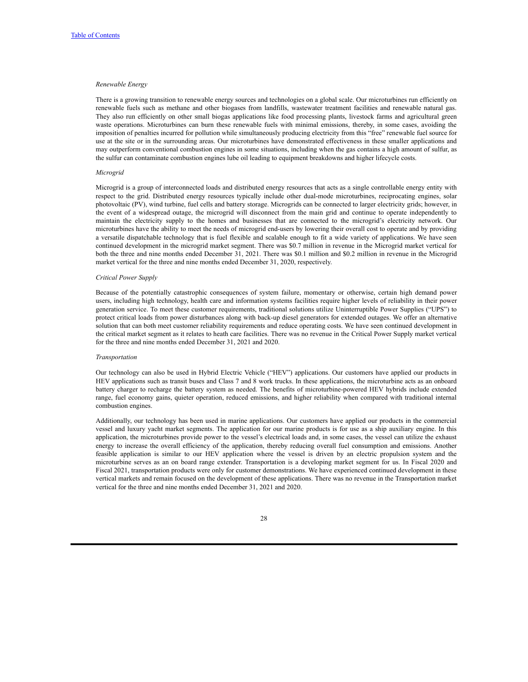## *Renewable Energy*

There is a growing transition to renewable energy sources and technologies on a global scale. Our microturbines run efficiently on renewable fuels such as methane and other biogases from landfills, wastewater treatment facilities and renewable natural gas. They also run efficiently on other small biogas applications like food processing plants, livestock farms and agricultural green waste operations. Microturbines can burn these renewable fuels with minimal emissions, thereby, in some cases, avoiding the imposition of penalties incurred for pollution while simultaneously producing electricity from this "free" renewable fuel source for use at the site or in the surrounding areas. Our microturbines have demonstrated effectiveness in these smaller applications and may outperform conventional combustion engines in some situations, including when the gas contains a high amount of sulfur, as the sulfur can contaminate combustion engines lube oil leading to equipment breakdowns and higher lifecycle costs.

#### *Microgrid*

Microgrid is a group of interconnected loads and distributed energy resources that acts as a single controllable energy entity with respect to the grid. Distributed energy resources typically include other dual-mode microturbines, reciprocating engines, solar photovoltaic (PV), wind turbine, fuel cells and battery storage. Microgrids can be connected to larger electricity grids; however, in the event of a widespread outage, the microgrid will disconnect from the main grid and continue to operate independently to maintain the electricity supply to the homes and businesses that are connected to the microgrid's electricity network. Our microturbines have the ability to meet the needs of microgrid end-users by lowering their overall cost to operate and by providing a versatile dispatchable technology that is fuel flexible and scalable enough to fit a wide variety of applications. We have seen continued development in the microgrid market segment. There was \$0.7 million in revenue in the Microgrid market vertical for both the three and nine months ended December 31, 2021. There was \$0.1 million and \$0.2 million in revenue in the Microgrid market vertical for the three and nine months ended December 31, 2020, respectively.

#### *Critical Power Supply*

Because of the potentially catastrophic consequences of system failure, momentary or otherwise, certain high demand power users, including high technology, health care and information systems facilities require higher levels of reliability in their power generation service. To meet these customer requirements, traditional solutions utilize Uninterruptible Power Supplies ("UPS") to protect critical loads from power disturbances along with back-up diesel generators for extended outages. We offer an alternative solution that can both meet customer reliability requirements and reduce operating costs. We have seen continued development in the critical market segment as it relates to heath care facilities. There was no revenue in the Critical Power Supply market vertical for the three and nine months ended December 31, 2021 and 2020.

#### *Transportation*

Our technology can also be used in Hybrid Electric Vehicle ("HEV") applications. Our customers have applied our products in HEV applications such as transit buses and Class 7 and 8 work trucks. In these applications, the microturbine acts as an onboard battery charger to recharge the battery system as needed. The benefits of microturbine-powered HEV hybrids include extended range, fuel economy gains, quieter operation, reduced emissions, and higher reliability when compared with traditional internal combustion engines.

Additionally, our technology has been used in marine applications. Our customers have applied our products in the commercial vessel and luxury yacht market segments. The application for our marine products is for use as a ship auxiliary engine. In this application, the microturbines provide power to the vessel's electrical loads and, in some cases, the vessel can utilize the exhaust energy to increase the overall efficiency of the application, thereby reducing overall fuel consumption and emissions. Another feasible application is similar to our HEV application where the vessel is driven by an electric propulsion system and the microturbine serves as an on board range extender. Transportation is a developing market segment for us. In Fiscal 2020 and Fiscal 2021, transportation products were only for customer demonstrations. We have experienced continued development in these vertical markets and remain focused on the development of these applications. There was no revenue in the Transportation market vertical for the three and nine months ended December 31, 2021 and 2020.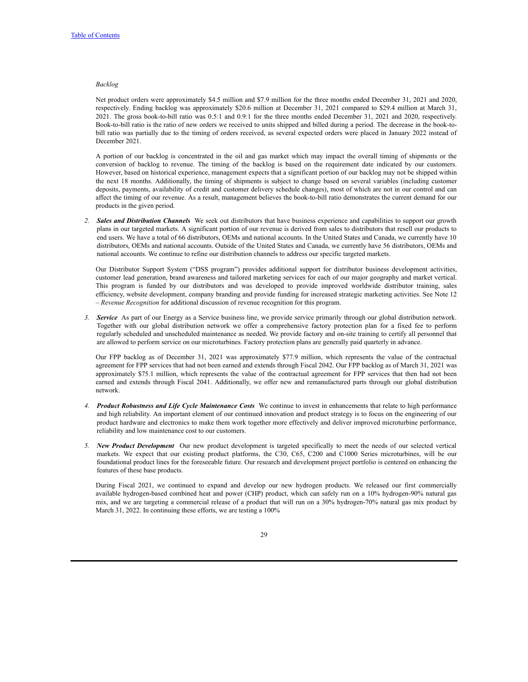# *Backlog*

Net product orders were approximately \$4.5 million and \$7.9 million for the three months ended December 31, 2021 and 2020, respectively. Ending backlog was approximately \$20.6 million at December 31, 2021 compared to \$29.4 million at March 31, 2021. The gross book-to-bill ratio was 0.5:1 and 0.9:1 for the three months ended December 31, 2021 and 2020, respectively. Book-to-bill ratio is the ratio of new orders we received to units shipped and billed during a period. The decrease in the book-tobill ratio was partially due to the timing of orders received, as several expected orders were placed in January 2022 instead of December 2021.

A portion of our backlog is concentrated in the oil and gas market which may impact the overall timing of shipments or the conversion of backlog to revenue. The timing of the backlog is based on the requirement date indicated by our customers. However, based on historical experience, management expects that a significant portion of our backlog may not be shipped within the next 18 months. Additionally, the timing of shipments is subject to change based on several variables (including customer deposits, payments, availability of credit and customer delivery schedule changes), most of which are not in our control and can affect the timing of our revenue. As a result, management believes the book-to-bill ratio demonstrates the current demand for our products in the given period.

*2. Sales and Distribution Channels* We seek out distributors that have business experience and capabilities to support our growth plans in our targeted markets. A significant portion of our revenue is derived from sales to distributors that resell our products to end users. We have a total of 66 distributors, OEMs and national accounts. In the United States and Canada, we currently have 10 distributors, OEMs and national accounts. Outside of the United States and Canada, we currently have 56 distributors, OEMs and national accounts. We continue to refine our distribution channels to address our specific targeted markets.

Our Distributor Support System ("DSS program") provides additional support for distributor business development activities, customer lead generation, brand awareness and tailored marketing services for each of our major geography and market vertical. This program is funded by our distributors and was developed to provide improved worldwide distributor training, sales efficiency, website development, company branding and provide funding for increased strategic marketing activities. See Note 12 – *Revenue Recognition* for additional discussion of revenue recognition for this program.

*3. Service* As part of our Energy as a Service business line, we provide service primarily through our global distribution network. Together with our global distribution network we offer a comprehensive factory protection plan for a fixed fee to perform regularly scheduled and unscheduled maintenance as needed. We provide factory and on-site training to certify all personnel that are allowed to perform service on our microturbines. Factory protection plans are generally paid quarterly in advance.

Our FPP backlog as of December 31, 2021 was approximately \$77.9 million, which represents the value of the contractual agreement for FPP services that had not been earned and extends through Fiscal 2042. Our FPP backlog as of March 31, 2021 was approximately \$75.1 million, which represents the value of the contractual agreement for FPP services that then had not been earned and extends through Fiscal 2041. Additionally, we offer new and remanufactured parts through our global distribution network.

- *4. Product Robustness and Life Cycle Maintenance Costs* We continue to invest in enhancements that relate to high performance and high reliability. An important element of our continued innovation and product strategy is to focus on the engineering of our product hardware and electronics to make them work together more effectively and deliver improved microturbine performance, reliability and low maintenance cost to our customers.
- *5. New Product Development* Our new product development is targeted specifically to meet the needs of our selected vertical markets. We expect that our existing product platforms, the C30, C65, C200 and C1000 Series microturbines, will be our foundational product lines for the foreseeable future. Our research and development project portfolio is centered on enhancing the features of these base products.

During Fiscal 2021, we continued to expand and develop our new hydrogen products. We released our first commercially available hydrogen-based combined heat and power (CHP) product, which can safely run on a 10% hydrogen-90% natural gas mix, and we are targeting a commercial release of a product that will run on a 30% hydrogen-70% natural gas mix product by March 31, 2022. In continuing these efforts, we are testing a 100%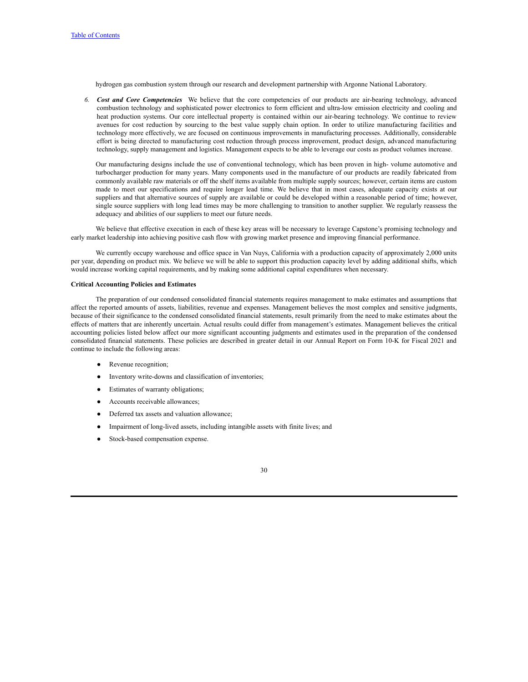hydrogen gas combustion system through our research and development partnership with Argonne National Laboratory.

*6. Cost and Core Competencies* We believe that the core competencies of our products are air-bearing technology, advanced combustion technology and sophisticated power electronics to form efficient and ultra-low emission electricity and cooling and heat production systems. Our core intellectual property is contained within our air-bearing technology. We continue to review avenues for cost reduction by sourcing to the best value supply chain option. In order to utilize manufacturing facilities and technology more effectively, we are focused on continuous improvements in manufacturing processes. Additionally, considerable effort is being directed to manufacturing cost reduction through process improvement, product design, advanced manufacturing technology, supply management and logistics. Management expects to be able to leverage our costs as product volumes increase.

Our manufacturing designs include the use of conventional technology, which has been proven in high- volume automotive and turbocharger production for many years. Many components used in the manufacture of our products are readily fabricated from commonly available raw materials or off the shelf items available from multiple supply sources; however, certain items are custom made to meet our specifications and require longer lead time. We believe that in most cases, adequate capacity exists at our suppliers and that alternative sources of supply are available or could be developed within a reasonable period of time; however, single source suppliers with long lead times may be more challenging to transition to another supplier. We regularly reassess the adequacy and abilities of our suppliers to meet our future needs.

We believe that effective execution in each of these key areas will be necessary to leverage Capstone's promising technology and early market leadership into achieving positive cash flow with growing market presence and improving financial performance.

We currently occupy warehouse and office space in Van Nuys, California with a production capacity of approximately 2,000 units per year, depending on product mix. We believe we will be able to support this production capacity level by adding additional shifts, which would increase working capital requirements, and by making some additional capital expenditures when necessary.

## **Critical Accounting Policies and Estimates**

The preparation of our condensed consolidated financial statements requires management to make estimates and assumptions that affect the reported amounts of assets, liabilities, revenue and expenses. Management believes the most complex and sensitive judgments, because of their significance to the condensed consolidated financial statements, result primarily from the need to make estimates about the effects of matters that are inherently uncertain. Actual results could differ from management's estimates. Management believes the critical accounting policies listed below affect our more significant accounting judgments and estimates used in the preparation of the condensed consolidated financial statements. These policies are described in greater detail in our Annual Report on Form 10-K for Fiscal 2021 and continue to include the following areas:

- Revenue recognition;
- Inventory write-downs and classification of inventories;
- Estimates of warranty obligations;
- Accounts receivable allowances;
- Deferred tax assets and valuation allowance;
- Impairment of long-lived assets, including intangible assets with finite lives; and
- Stock-based compensation expense.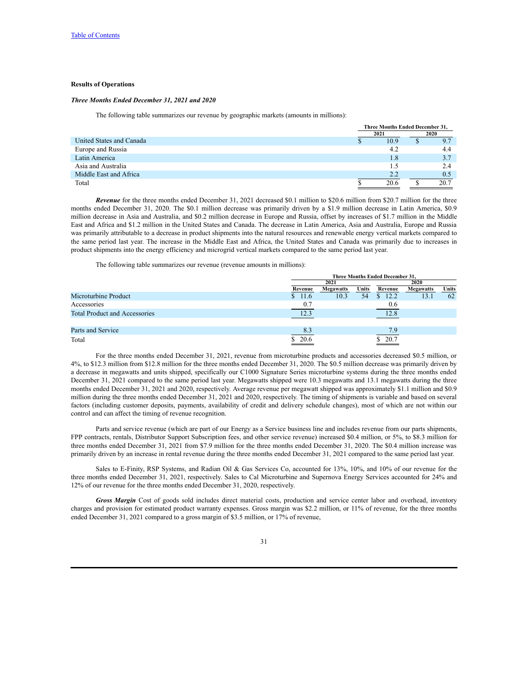# **Results of Operations**

## *Three Months Ended December 31, 2021 and 2020*

The following table summarizes our revenue by geographic markets (amounts in millions):

|                          | Three Months Ended December 31. |      |  |      |
|--------------------------|---------------------------------|------|--|------|
|                          |                                 | 2021 |  | 2020 |
| United States and Canada |                                 | 10.9 |  |      |
| Europe and Russia        |                                 | 4.2  |  | 4.4  |
| Latin America            |                                 | 1.8  |  |      |
| Asia and Australia       |                                 | 1.5  |  | 2.4  |
| Middle East and Africa   |                                 | 2.2  |  | 0.5  |
| Total                    |                                 | 20.6 |  | 20.7 |

*Revenue* for the three months ended December 31, 2021 decreased \$0.1 million to \$20.6 million from \$20.7 million for the three months ended December 31, 2020. The \$0.1 million decrease was primarily driven by a \$1.9 million decrease in Latin America, \$0.9 million decrease in Asia and Australia, and \$0.2 million decrease in Europe and Russia, offset by increases of \$1.7 million in the Middle East and Africa and \$1.2 million in the United States and Canada. The decrease in Latin America, Asia and Australia, Europe and Russia was primarily attributable to a decrease in product shipments into the natural resources and renewable energy vertical markets compared to the same period last year. The increase in the Middle East and Africa, the United States and Canada was primarily due to increases in product shipments into the energy efficiency and microgrid vertical markets compared to the same period last year.

The following table summarizes our revenue (revenue amounts in millions):

|                                      | <b>Three Months Ended December 31.</b> |           |       |         |           |       |
|--------------------------------------|----------------------------------------|-----------|-------|---------|-----------|-------|
|                                      | 2020<br>2021                           |           |       |         |           |       |
|                                      | Revenue                                | Megawatts | Units | Revenue | Megawatts | Units |
| Microturbine Product                 | \$11.6                                 | 10.3      | 54    | 12.2    | 13.1      | 62    |
| Accessories                          | 0.7                                    |           |       | 0.6     |           |       |
| <b>Total Product and Accessories</b> | 12.3                                   |           |       | 12.8    |           |       |
|                                      |                                        |           |       |         |           |       |
| Parts and Service                    | 8.3                                    |           |       | 7.9     |           |       |
| Total                                | 20.6                                   |           |       | 20.7    |           |       |

For the three months ended December 31, 2021, revenue from microturbine products and accessories decreased \$0.5 million, or 4%, to \$12.3 million from \$12.8 million for the three months ended December 31, 2020. The \$0.5 million decrease was primarily driven by a decrease in megawatts and units shipped, specifically our C1000 Signature Series microturbine systems during the three months ended December 31, 2021 compared to the same period last year. Megawatts shipped were 10.3 megawatts and 13.1 megawatts during the three months ended December 31, 2021 and 2020, respectively. Average revenue per megawatt shipped was approximately \$1.1 million and \$0.9 million during the three months ended December 31, 2021 and 2020, respectively. The timing of shipments is variable and based on several factors (including customer deposits, payments, availability of credit and delivery schedule changes), most of which are not within our control and can affect the timing of revenue recognition.

Parts and service revenue (which are part of our Energy as a Service business line and includes revenue from our parts shipments, FPP contracts, rentals, Distributor Support Subscription fees, and other service revenue) increased \$0.4 million, or 5%, to \$8.3 million for three months ended December 31, 2021 from \$7.9 million for the three months ended December 31, 2020. The \$0.4 million increase was primarily driven by an increase in rental revenue during the three months ended December 31, 2021 compared to the same period last year.

Sales to E-Finity, RSP Systems, and Radian Oil & Gas Services Co, accounted for 13%, 10%, and 10% of our revenue for the three months ended December 31, 2021, respectively. Sales to Cal Microturbine and Supernova Energy Services accounted for 24% and 12% of our revenue for the three months ended December 31, 2020, respectively.

*Gross Margin* Cost of goods sold includes direct material costs, production and service center labor and overhead, inventory charges and provision for estimated product warranty expenses. Gross margin was \$2.2 million, or 11% of revenue, for the three months ended December 31, 2021 compared to a gross margin of \$3.5 million, or 17% of revenue,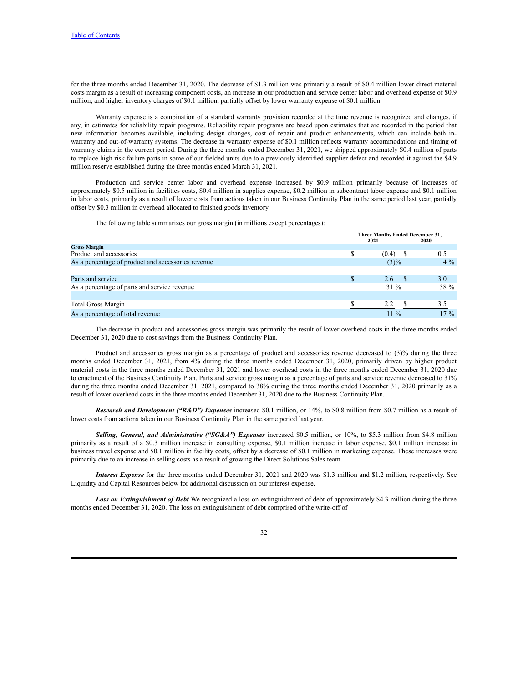for the three months ended December 31, 2020. The decrease of \$1.3 million was primarily a result of \$0.4 million lower direct material costs margin as a result of increasing component costs, an increase in our production and service center labor and overhead expense of \$0.9 million, and higher inventory charges of \$0.1 million, partially offset by lower warranty expense of \$0.1 million.

Warranty expense is a combination of a standard warranty provision recorded at the time revenue is recognized and changes, if any, in estimates for reliability repair programs. Reliability repair programs are based upon estimates that are recorded in the period that new information becomes available, including design changes, cost of repair and product enhancements, which can include both inwarranty and out-of-warranty systems. The decrease in warranty expense of \$0.1 million reflects warranty accommodations and timing of warranty claims in the current period. During the three months ended December 31, 2021, we shipped approximately \$0.4 million of parts to replace high risk failure parts in some of our fielded units due to a previously identified supplier defect and recorded it against the \$4.9 million reserve established during the three months ended March 31, 2021.

Production and service center labor and overhead expense increased by \$0.9 million primarily because of increases of approximately \$0.5 million in facilities costs, \$0.4 million in supplies expense, \$0.2 million in subcontract labor expense and \$0.1 million in labor costs, primarily as a result of lower costs from actions taken in our Business Continuity Plan in the same period last year, partially offset by \$0.3 million in overhead allocated to finished goods inventory.

The following table summarizes our gross margin (in millions except percentages):

|                                                    |    | Three Months Ended December 31, |      |        |  |
|----------------------------------------------------|----|---------------------------------|------|--------|--|
|                                                    |    | 2021                            | 2020 |        |  |
| <b>Gross Margin</b>                                |    |                                 |      |        |  |
| Product and accessories                            | S  | (0.4)                           |      | 0.5    |  |
| As a percentage of product and accessories revenue |    | $(3)\%$                         |      | $4\%$  |  |
|                                                    |    |                                 |      |        |  |
| Parts and service                                  | S. | 2.6                             |      | 3.0    |  |
| As a percentage of parts and service revenue       |    | $31\%$                          |      | 38 %   |  |
|                                                    |    |                                 |      |        |  |
| <b>Total Gross Margin</b>                          |    | 2.2                             |      | 3.5    |  |
| As a percentage of total revenue                   |    | $11\%$                          |      | $17\%$ |  |

The decrease in product and accessories gross margin was primarily the result of lower overhead costs in the three months ended December 31, 2020 due to cost savings from the Business Continuity Plan.

Product and accessories gross margin as a percentage of product and accessories revenue decreased to (3)% during the three months ended December 31, 2021, from 4% during the three months ended December 31, 2020, primarily driven by higher product material costs in the three months ended December 31, 2021 and lower overhead costs in the three months ended December 31, 2020 due to enactment of the Business Continuity Plan. Parts and service gross margin as a percentage of parts and service revenue decreased to 31% during the three months ended December 31, 2021, compared to 38% during the three months ended December 31, 2020 primarily as a result of lower overhead costs in the three months ended December 31, 2020 due to the Business Continuity Plan.

*Research and Development ("R&D") Expenses* increased \$0.1 million, or 14%, to \$0.8 million from \$0.7 million as a result of lower costs from actions taken in our Business Continuity Plan in the same period last year.

*Selling, General, and Administrative ("SG&A") Expenses* increased \$0.5 million, or 10%, to \$5.3 million from \$4.8 million primarily as a result of a \$0.3 million increase in consulting expense, \$0.1 million increase in labor expense, \$0.1 million increase in business travel expense and \$0.1 million in facility costs, offset by a decrease of \$0.1 million in marketing expense. These increases were primarily due to an increase in selling costs as a result of growing the Direct Solutions Sales team.

*Interest Expense* for the three months ended December 31, 2021 and 2020 was \$1.3 million and \$1.2 million, respectively. See Liquidity and Capital Resources below for additional discussion on our interest expense.

*Loss on Extinguishment of Debt* We recognized a loss on extinguishment of debt of approximately \$4.3 million during the three months ended December 31, 2020. The loss on extinguishment of debt comprised of the write-off of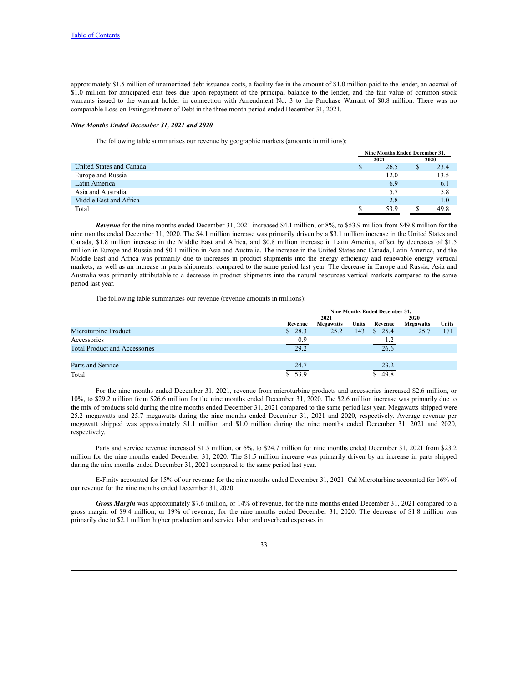approximately \$1.5 million of unamortized debt issuance costs, a facility fee in the amount of \$1.0 million paid to the lender, an accrual of \$1.0 million for anticipated exit fees due upon repayment of the principal balance to the lender, and the fair value of common stock warrants issued to the warrant holder in connection with Amendment No. 3 to the Purchase Warrant of \$0.8 million. There was no comparable Loss on Extinguishment of Debt in the three month period ended December 31, 2021.

#### *Nine Months Ended December 31, 2021 and 2020*

The following table summarizes our revenue by geographic markets (amounts in millions):

|                          | Nine Months Ended December 31. |      |  |      |
|--------------------------|--------------------------------|------|--|------|
|                          |                                | 2021 |  | 2020 |
| United States and Canada |                                | 26.5 |  | 23.4 |
| Europe and Russia        |                                | 12.0 |  | 13.5 |
| Latin America            |                                | 6.9  |  | 6.1  |
| Asia and Australia       |                                | 5.7  |  | 5.8  |
| Middle East and Africa   |                                | 2.8  |  |      |
| Total                    |                                | 53.9 |  | 49.8 |

*Revenue* for the nine months ended December 31, 2021 increased \$4.1 million, or 8%, to \$53.9 million from \$49.8 million for the nine months ended December 31, 2020. The \$4.1 million increase was primarily driven by a \$3.1 million increase in the United States and Canada, \$1.8 million increase in the Middle East and Africa, and \$0.8 million increase in Latin America, offset by decreases of \$1.5 million in Europe and Russia and \$0.1 million in Asia and Australia. The increase in the United States and Canada, Latin America, and the Middle East and Africa was primarily due to increases in product shipments into the energy efficiency and renewable energy vertical markets, as well as an increase in parts shipments, compared to the same period last year. The decrease in Europe and Russia, Asia and Australia was primarily attributable to a decrease in product shipments into the natural resources vertical markets compared to the same period last year.

The following table summarizes our revenue (revenue amounts in millions):

|                                      | <b>Nine Months Ended December 31.</b> |           |       |         |                  |              |
|--------------------------------------|---------------------------------------|-----------|-------|---------|------------------|--------------|
|                                      |                                       | 2021      |       |         | 2020             |              |
|                                      | Revenue                               | Megawatts | Units | Revenue | <b>Megawatts</b> | <b>Units</b> |
| Microturbine Product                 | \$28.3                                | 25.2      | 143   | \$25.4  | 25.7             | 171          |
| Accessories                          | 0.9                                   |           |       | 1.2     |                  |              |
| <b>Total Product and Accessories</b> | 29.2                                  |           |       | 26.6    |                  |              |
|                                      |                                       |           |       |         |                  |              |
| Parts and Service                    | 24.7                                  |           |       | 23.2    |                  |              |
| Total                                | 53.9                                  |           |       | 49.8    |                  |              |
|                                      |                                       |           |       |         |                  |              |

For the nine months ended December 31, 2021, revenue from microturbine products and accessories increased \$2.6 million, or 10%, to \$29.2 million from \$26.6 million for the nine months ended December 31, 2020. The \$2.6 million increase was primarily due to the mix of products sold during the nine months ended December 31, 2021 compared to the same period last year. Megawatts shipped were 25.2 megawatts and 25.7 megawatts during the nine months ended December 31, 2021 and 2020, respectively. Average revenue per megawatt shipped was approximately \$1.1 million and \$1.0 million during the nine months ended December 31, 2021 and 2020, respectively.

Parts and service revenue increased \$1.5 million, or 6%, to \$24.7 million for nine months ended December 31, 2021 from \$23.2 million for the nine months ended December 31, 2020. The \$1.5 million increase was primarily driven by an increase in parts shipped during the nine months ended December 31, 2021 compared to the same period last year.

E-Finity accounted for 15% of our revenue for the nine months ended December 31, 2021. Cal Microturbine accounted for 16% of our revenue for the nine months ended December 31, 2020.

*Gross Margin* was approximately \$7.6 million, or 14% of revenue, for the nine months ended December 31, 2021 compared to a gross margin of \$9.4 million, or 19% of revenue, for the nine months ended December 31, 2020. The decrease of \$1.8 million was primarily due to \$2.1 million higher production and service labor and overhead expenses in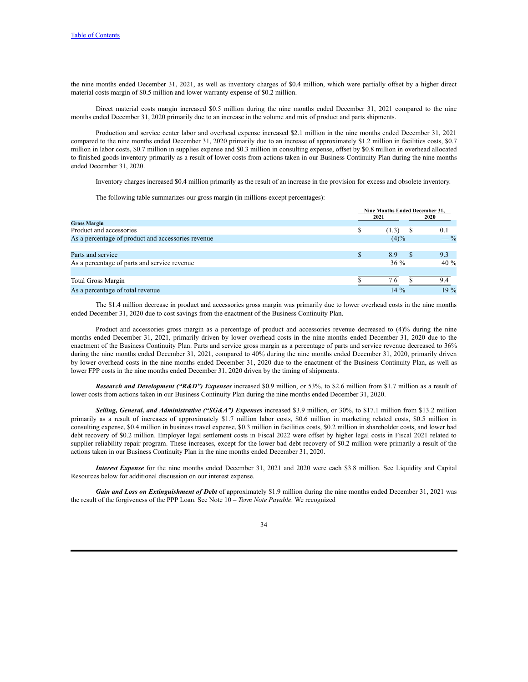the nine months ended December 31, 2021, as well as inventory charges of \$0.4 million, which were partially offset by a higher direct material costs margin of \$0.5 million and lower warranty expense of \$0.2 million.

Direct material costs margin increased \$0.5 million during the nine months ended December 31, 2021 compared to the nine months ended December 31, 2020 primarily due to an increase in the volume and mix of product and parts shipments.

Production and service center labor and overhead expense increased \$2.1 million in the nine months ended December 31, 2021 compared to the nine months ended December 31, 2020 primarily due to an increase of approximately \$1.2 million in facilities costs, \$0.7 million in labor costs, \$0.7 million in supplies expense and \$0.3 million in consulting expense, offset by \$0.8 million in overhead allocated to finished goods inventory primarily as a result of lower costs from actions taken in our Business Continuity Plan during the nine months ended December 31, 2020.

Inventory charges increased \$0.4 million primarily as the result of an increase in the provision for excess and obsolete inventory.

The following table summarizes our gross margin (in millions except percentages):

|                                                    | Nine Months Ended December 31, |         |      |       |
|----------------------------------------------------|--------------------------------|---------|------|-------|
|                                                    | 2021                           |         | 2020 |       |
| <b>Gross Margin</b>                                |                                |         |      |       |
| Product and accessories                            | \$                             | (1.3)   |      | 0.1   |
| As a percentage of product and accessories revenue |                                | $(4)\%$ |      | $-$ % |
| Parts and service                                  | ъ                              | 89      | -S   | 9.3   |
| As a percentage of parts and service revenue       |                                | $36\%$  |      | 40 %  |
|                                                    |                                |         |      |       |
| <b>Total Gross Margin</b>                          |                                | 7.6     |      | 94    |
| As a percentage of total revenue                   |                                | $14\%$  |      | 19 %  |

The \$1.4 million decrease in product and accessories gross margin was primarily due to lower overhead costs in the nine months ended December 31, 2020 due to cost savings from the enactment of the Business Continuity Plan.

Product and accessories gross margin as a percentage of product and accessories revenue decreased to (4)% during the nine months ended December 31, 2021, primarily driven by lower overhead costs in the nine months ended December 31, 2020 due to the enactment of the Business Continuity Plan. Parts and service gross margin as a percentage of parts and service revenue decreased to 36% during the nine months ended December 31, 2021, compared to 40% during the nine months ended December 31, 2020, primarily driven by lower overhead costs in the nine months ended December 31, 2020 due to the enactment of the Business Continuity Plan, as well as lower FPP costs in the nine months ended December 31, 2020 driven by the timing of shipments.

*Research and Development ("R&D") Expenses* increased \$0.9 million, or 53%, to \$2.6 million from \$1.7 million as a result of lower costs from actions taken in our Business Continuity Plan during the nine months ended December 31, 2020.

*Selling, General, and Administrative ("SG&A") Expenses* increased \$3.9 million, or 30%, to \$17.1 million from \$13.2 million primarily as a result of increases of approximately \$1.7 million labor costs, \$0.6 million in marketing related costs, \$0.5 million in consulting expense, \$0.4 million in business travel expense, \$0.3 million in facilities costs, \$0.2 million in shareholder costs, and lower bad debt recovery of \$0.2 million. Employer legal settlement costs in Fiscal 2022 were offset by higher legal costs in Fiscal 2021 related to supplier reliability repair program. These increases, except for the lower bad debt recovery of \$0.2 million were primarily a result of the actions taken in our Business Continuity Plan in the nine months ended December 31, 2020.

*Interest Expense* for the nine months ended December 31, 2021 and 2020 were each \$3.8 million. See Liquidity and Capital Resources below for additional discussion on our interest expense.

*Gain and Loss on Extinguishment of Debt* of approximately \$1.9 million during the nine months ended December 31, 2021 was the result of the forgiveness of the PPP Loan. See Note 10 – *Term Note Payable*. We recognized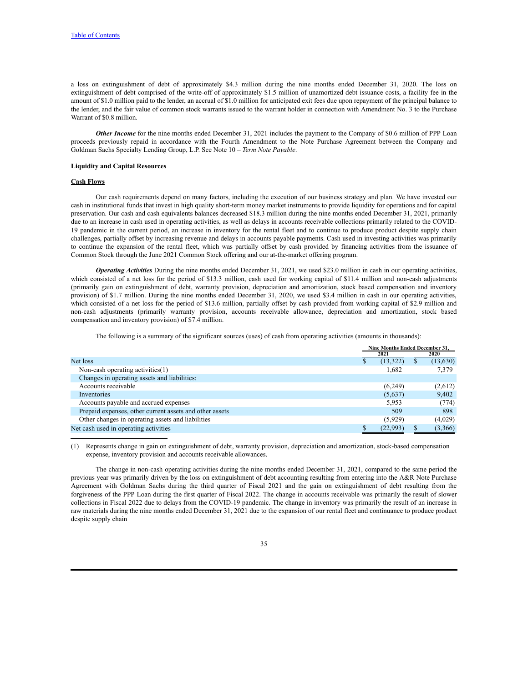a loss on extinguishment of debt of approximately \$4.3 million during the nine months ended December 31, 2020. The loss on extinguishment of debt comprised of the write-off of approximately \$1.5 million of unamortized debt issuance costs, a facility fee in the amount of \$1.0 million paid to the lender, an accrual of \$1.0 million for anticipated exit fees due upon repayment of the principal balance to the lender, and the fair value of common stock warrants issued to the warrant holder in connection with Amendment No. 3 to the Purchase Warrant of \$0.8 million.

*Other Income* for the nine months ended December 31, 2021 includes the payment to the Company of \$0.6 million of PPP Loan proceeds previously repaid in accordance with the Fourth Amendment to the Note Purchase Agreement between the Company and Goldman Sachs Specialty Lending Group, L.P. See Note 10 – *Term Note Payable*.

#### **Liquidity and Capital Resources**

#### **Cash Flows**

Our cash requirements depend on many factors, including the execution of our business strategy and plan. We have invested our cash in institutional funds that invest in high quality short-term money market instruments to provide liquidity for operations and for capital preservation. Our cash and cash equivalents balances decreased \$18.3 million during the nine months ended December 31, 2021, primarily due to an increase in cash used in operating activities, as well as delays in accounts receivable collections primarily related to the COVID-19 pandemic in the current period, an increase in inventory for the rental fleet and to continue to produce product despite supply chain challenges, partially offset by increasing revenue and delays in accounts payable payments. Cash used in investing activities was primarily to continue the expansion of the rental fleet, which was partially offset by cash provided by financing activities from the issuance of Common Stock through the June 2021 Common Stock offering and our at-the-market offering program.

*Operating Activities* During the nine months ended December 31, 2021, we used \$23.0 million in cash in our operating activities, which consisted of a net loss for the period of \$13.3 million, cash used for working capital of \$11.4 million and non-cash adjustments (primarily gain on extinguishment of debt, warranty provision, depreciation and amortization, stock based compensation and inventory provision) of \$1.7 million. During the nine months ended December 31, 2020, we used \$3.4 million in cash in our operating activities, which consisted of a net loss for the period of \$13.6 million, partially offset by cash provided from working capital of \$2.9 million and non-cash adjustments (primarily warranty provision, accounts receivable allowance, depreciation and amortization, stock based compensation and inventory provision) of \$7.4 million.

The following is a summary of the significant sources (uses) of cash from operating activities (amounts in thousands):

|                                                         | <b>Nine Months Ended December 31.</b> |          |  |             |
|---------------------------------------------------------|---------------------------------------|----------|--|-------------|
|                                                         |                                       | 2021     |  | <b>2020</b> |
| Net loss                                                |                                       | (13,322) |  | (13,630)    |
| Non-cash operating activities $(1)$                     |                                       | 1.682    |  | 7,379       |
| Changes in operating assets and liabilities:            |                                       |          |  |             |
| Accounts receivable                                     |                                       | (6,249)  |  | (2,612)     |
| Inventories                                             |                                       | (5,637)  |  | 9,402       |
| Accounts payable and accrued expenses                   |                                       | 5.953    |  | (774)       |
| Prepaid expenses, other current assets and other assets |                                       | 509      |  | 898         |
| Other changes in operating assets and liabilities       |                                       | (5,929)  |  | (4,029)     |
| Net cash used in operating activities                   |                                       | (22,993) |  | (3,366)     |
|                                                         |                                       |          |  |             |

(1) Represents change in gain on extinguishment of debt, warranty provision, depreciation and amortization, stock-based compensation expense, inventory provision and accounts receivable allowances.

The change in non-cash operating activities during the nine months ended December 31, 2021, compared to the same period the previous year was primarily driven by the loss on extinguishment of debt accounting resulting from entering into the A&R Note Purchase Agreement with Goldman Sachs during the third quarter of Fiscal 2021 and the gain on extinguishment of debt resulting from the forgiveness of the PPP Loan during the first quarter of Fiscal 2022. The change in accounts receivable was primarily the result of slower collections in Fiscal 2022 due to delays from the COVID-19 pandemic. The change in inventory was primarily the result of an increase in raw materials during the nine months ended December 31, 2021 due to the expansion of our rental fleet and continuance to produce product despite supply chain

<sup>35</sup>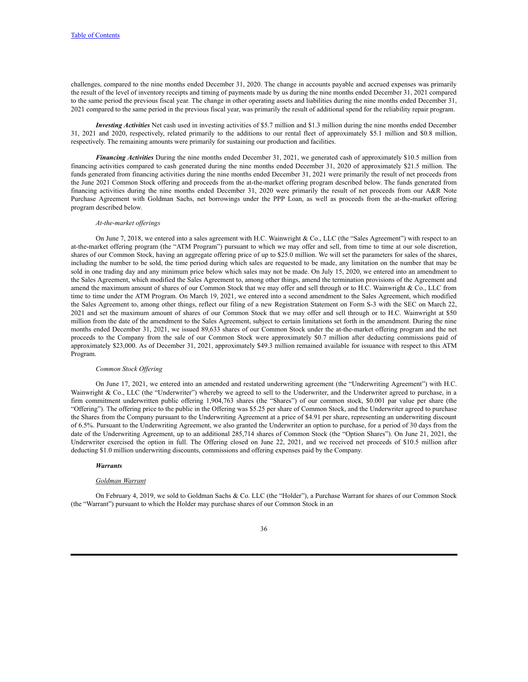challenges, compared to the nine months ended December 31, 2020. The change in accounts payable and accrued expenses was primarily the result of the level of inventory receipts and timing of payments made by us during the nine months ended December 31, 2021 compared to the same period the previous fiscal year. The change in other operating assets and liabilities during the nine months ended December 31, 2021 compared to the same period in the previous fiscal year, was primarily the result of additional spend for the reliability repair program.

*Investing Activities* Net cash used in investing activities of \$5.7 million and \$1.3 million during the nine months ended December 31, 2021 and 2020, respectively, related primarily to the additions to our rental fleet of approximately \$5.1 million and \$0.8 million, respectively. The remaining amounts were primarily for sustaining our production and facilities.

*Financing Activities* During the nine months ended December 31, 2021, we generated cash of approximately \$10.5 million from financing activities compared to cash generated during the nine months ended December 31, 2020 of approximately \$21.5 million. The funds generated from financing activities during the nine months ended December 31, 2021 were primarily the result of net proceeds from the June 2021 Common Stock offering and proceeds from the at-the-market offering program described below. The funds generated from financing activities during the nine months ended December 31, 2020 were primarily the result of net proceeds from our A&R Note Purchase Agreement with Goldman Sachs, net borrowings under the PPP Loan, as well as proceeds from the at-the-market offering program described below.

#### *At-the-market of erings*

On June 7, 2018, we entered into a sales agreement with H.C. Wainwright & Co., LLC (the "Sales Agreement") with respect to an at-the-market offering program (the "ATM Program") pursuant to which we may offer and sell, from time to time at our sole discretion, shares of our Common Stock, having an aggregate offering price of up to \$25.0 million. We will set the parameters for sales of the shares, including the number to be sold, the time period during which sales are requested to be made, any limitation on the number that may be sold in one trading day and any minimum price below which sales may not be made. On July 15, 2020, we entered into an amendment to the Sales Agreement, which modified the Sales Agreement to, among other things, amend the termination provisions of the Agreement and amend the maximum amount of shares of our Common Stock that we may offer and sell through or to H.C. Wainwright & Co., LLC from time to time under the ATM Program. On March 19, 2021, we entered into a second amendment to the Sales Agreement, which modified the Sales Agreement to, among other things, reflect our filing of a new Registration Statement on Form S-3 with the SEC on March 22, 2021 and set the maximum amount of shares of our Common Stock that we may offer and sell through or to H.C. Wainwright at \$50 million from the date of the amendment to the Sales Agreement, subject to certain limitations set forth in the amendment. During the nine months ended December 31, 2021, we issued 89,633 shares of our Common Stock under the at-the-market offering program and the net proceeds to the Company from the sale of our Common Stock were approximately \$0.7 million after deducting commissions paid of approximately \$23,000. As of December 31, 2021, approximately \$49.3 million remained available for issuance with respect to this ATM Program.

#### *Common Stock Of ering*

On June 17, 2021, we entered into an amended and restated underwriting agreement (the "Underwriting Agreement") with H.C. Wainwright & Co., LLC (the "Underwriter") whereby we agreed to sell to the Underwriter, and the Underwriter agreed to purchase, in a firm commitment underwritten public offering 1,904,763 shares (the "Shares") of our common stock, \$0.001 par value per share (the "Offering"). The offering price to the public in the Offering was \$5.25 per share of Common Stock, and the Underwriter agreed to purchase the Shares from the Company pursuant to the Underwriting Agreement at a price of \$4.91 per share, representing an underwriting discount of 6.5%. Pursuant to the Underwriting Agreement, we also granted the Underwriter an option to purchase, for a period of 30 days from the date of the Underwriting Agreement, up to an additional 285,714 shares of Common Stock (the "Option Shares"). On June 21, 2021, the Underwriter exercised the option in full. The Offering closed on June 22, 2021, and we received net proceeds of \$10.5 million after deducting \$1.0 million underwriting discounts, commissions and offering expenses paid by the Company.

#### *Warrants*

#### *Goldman Warrant*

On February 4, 2019, we sold to Goldman Sachs & Co. LLC (the "Holder"), a Purchase Warrant for shares of our Common Stock (the "Warrant") pursuant to which the Holder may purchase shares of our Common Stock in an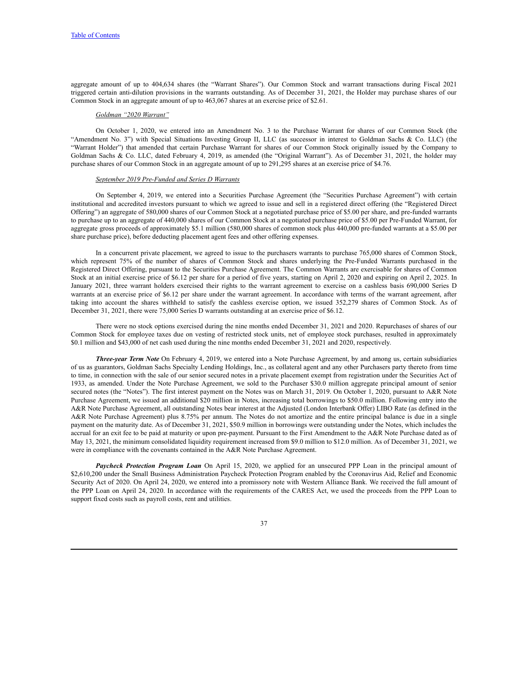aggregate amount of up to 404,634 shares (the "Warrant Shares"). Our Common Stock and warrant transactions during Fiscal 2021 triggered certain anti-dilution provisions in the warrants outstanding. As of December 31, 2021, the Holder may purchase shares of our Common Stock in an aggregate amount of up to 463,067 shares at an exercise price of \$2.61.

## *Goldman "2020 Warrant"*

On October 1, 2020, we entered into an Amendment No. 3 to the Purchase Warrant for shares of our Common Stock (the "Amendment No. 3") with Special Situations Investing Group II, LLC (as successor in interest to Goldman Sachs & Co. LLC) (the "Warrant Holder") that amended that certain Purchase Warrant for shares of our Common Stock originally issued by the Company to Goldman Sachs & Co. LLC, dated February 4, 2019, as amended (the "Original Warrant"). As of December 31, 2021, the holder may purchase shares of our Common Stock in an aggregate amount of up to 291,295 shares at an exercise price of \$4.76.

#### *September 2019 Pre-Funded and Series D Warrants*

On September 4, 2019, we entered into a Securities Purchase Agreement (the "Securities Purchase Agreement") with certain institutional and accredited investors pursuant to which we agreed to issue and sell in a registered direct offering (the "Registered Direct Offering") an aggregate of 580,000 shares of our Common Stock at a negotiated purchase price of \$5.00 per share, and pre-funded warrants to purchase up to an aggregate of 440,000 shares of our Common Stock at a negotiated purchase price of \$5.00 per Pre-Funded Warrant, for aggregate gross proceeds of approximately \$5.1 million (580,000 shares of common stock plus 440,000 pre-funded warrants at a \$5.00 per share purchase price), before deducting placement agent fees and other offering expenses.

In a concurrent private placement, we agreed to issue to the purchasers warrants to purchase 765,000 shares of Common Stock, which represent 75% of the number of shares of Common Stock and shares underlying the Pre-Funded Warrants purchased in the Registered Direct Offering, pursuant to the Securities Purchase Agreement. The Common Warrants are exercisable for shares of Common Stock at an initial exercise price of \$6.12 per share for a period of five years, starting on April 2, 2020 and expiring on April 2, 2025. In January 2021, three warrant holders exercised their rights to the warrant agreement to exercise on a cashless basis 690,000 Series D warrants at an exercise price of \$6.12 per share under the warrant agreement. In accordance with terms of the warrant agreement, after taking into account the shares withheld to satisfy the cashless exercise option, we issued 352,279 shares of Common Stock. As of December 31, 2021, there were 75,000 Series D warrants outstanding at an exercise price of \$6.12.

There were no stock options exercised during the nine months ended December 31, 2021 and 2020. Repurchases of shares of our Common Stock for employee taxes due on vesting of restricted stock units, net of employee stock purchases, resulted in approximately \$0.1 million and \$43,000 of net cash used during the nine months ended December 31, 2021 and 2020, respectively.

*Three-year Term Note* On February 4, 2019, we entered into a Note Purchase Agreement, by and among us, certain subsidiaries of us as guarantors, Goldman Sachs Specialty Lending Holdings, Inc., as collateral agent and any other Purchasers party thereto from time to time, in connection with the sale of our senior secured notes in a private placement exempt from registration under the Securities Act of 1933, as amended. Under the Note Purchase Agreement, we sold to the Purchaser \$30.0 million aggregate principal amount of senior secured notes (the "Notes"). The first interest payment on the Notes was on March 31, 2019. On October 1, 2020, pursuant to A&R Note Purchase Agreement, we issued an additional \$20 million in Notes, increasing total borrowings to \$50.0 million. Following entry into the A&R Note Purchase Agreement, all outstanding Notes bear interest at the Adjusted (London Interbank Offer) LIBO Rate (as defined in the A&R Note Purchase Agreement) plus 8.75% per annum. The Notes do not amortize and the entire principal balance is due in a single payment on the maturity date. As of December 31, 2021, \$50.9 million in borrowings were outstanding under the Notes, which includes the accrual for an exit fee to be paid at maturity or upon pre-payment. Pursuant to the First Amendment to the A&R Note Purchase dated as of May 13, 2021, the minimum consolidated liquidity requirement increased from \$9.0 million to \$12.0 million. As of December 31, 2021, we were in compliance with the covenants contained in the A&R Note Purchase Agreement.

*Paycheck Protection Program Loan* On April 15, 2020, we applied for an unsecured PPP Loan in the principal amount of \$2,610,200 under the Small Business Administration Paycheck Protection Program enabled by the Coronavirus Aid, Relief and Economic Security Act of 2020. On April 24, 2020, we entered into a promissory note with Western Alliance Bank. We received the full amount of the PPP Loan on April 24, 2020. In accordance with the requirements of the CARES Act, we used the proceeds from the PPP Loan to support fixed costs such as payroll costs, rent and utilities.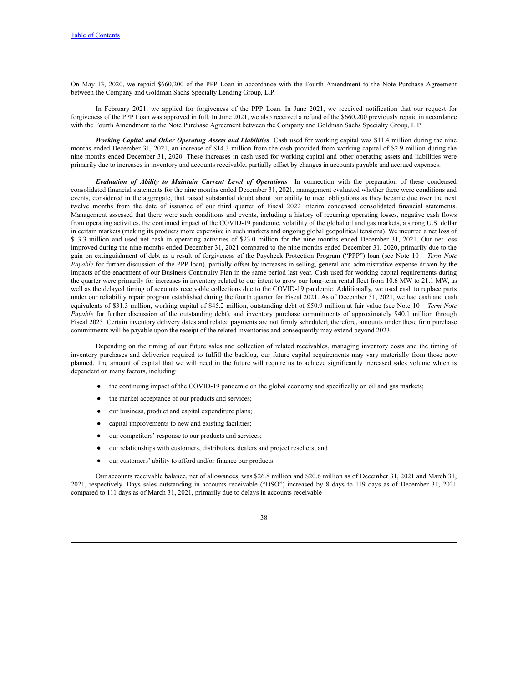On May 13, 2020, we repaid \$660,200 of the PPP Loan in accordance with the Fourth Amendment to the Note Purchase Agreement between the Company and Goldman Sachs Specialty Lending Group, L.P.

In February 2021, we applied for forgiveness of the PPP Loan. In June 2021, we received notification that our request for forgiveness of the PPP Loan was approved in full. In June 2021, we also received a refund of the \$660,200 previously repaid in accordance with the Fourth Amendment to the Note Purchase Agreement between the Company and Goldman Sachs Specialty Group, L.P.

*Working Capital and Other Operating Assets and Liabilities* Cash used for working capital was \$11.4 million during the nine months ended December 31, 2021, an increase of \$14.3 million from the cash provided from working capital of \$2.9 million during the nine months ended December 31, 2020. These increases in cash used for working capital and other operating assets and liabilities were primarily due to increases in inventory and accounts receivable, partially offset by changes in accounts payable and accrued expenses.

*Evaluation of Ability to Maintain Current Level of Operations* In connection with the preparation of these condensed consolidated financial statements for the nine months ended December 31, 2021, management evaluated whether there were conditions and events, considered in the aggregate, that raised substantial doubt about our ability to meet obligations as they became due over the next twelve months from the date of issuance of our third quarter of Fiscal 2022 interim condensed consolidated financial statements. Management assessed that there were such conditions and events, including a history of recurring operating losses, negative cash flows from operating activities, the continued impact of the COVID-19 pandemic, volatility of the global oil and gas markets, a strong U.S. dollar in certain markets (making its products more expensive in such markets and ongoing global geopolitical tensions). We incurred a net loss of \$13.3 million and used net cash in operating activities of \$23.0 million for the nine months ended December 31, 2021. Our net loss improved during the nine months ended December 31, 2021 compared to the nine months ended December 31, 2020, primarily due to the gain on extinguishment of debt as a result of forgiveness of the Paycheck Protection Program ("PPP") loan (see Note 10 – *Term Note Payable* for further discussion of the PPP loan), partially offset by increases in selling, general and administrative expense driven by the impacts of the enactment of our Business Continuity Plan in the same period last year. Cash used for working capital requirements during the quarter were primarily for increases in inventory related to our intent to grow our long-term rental fleet from 10.6 MW to 21.1 MW, as well as the delayed timing of accounts receivable collections due to the COVID-19 pandemic. Additionally, we used cash to replace parts under our reliability repair program established during the fourth quarter for Fiscal 2021. As of December 31, 2021, we had cash and cash equivalents of \$31.3 million, working capital of \$45.2 million, outstanding debt of \$50.9 million at fair value (see Note 10 – *Term Note Payable* for further discussion of the outstanding debt), and inventory purchase commitments of approximately \$40.1 million through Fiscal 2023. Certain inventory delivery dates and related payments are not firmly scheduled; therefore, amounts under these firm purchase commitments will be payable upon the receipt of the related inventories and consequently may extend beyond 2023.

Depending on the timing of our future sales and collection of related receivables, managing inventory costs and the timing of inventory purchases and deliveries required to fulfill the backlog, our future capital requirements may vary materially from those now planned. The amount of capital that we will need in the future will require us to achieve significantly increased sales volume which is dependent on many factors, including:

- the continuing impact of the COVID-19 pandemic on the global economy and specifically on oil and gas markets;
- the market acceptance of our products and services;
- our business, product and capital expenditure plans;
- capital improvements to new and existing facilities;
- our competitors' response to our products and services;
- our relationships with customers, distributors, dealers and project resellers; and
- our customers' ability to afford and/or finance our products.

Our accounts receivable balance, net of allowances, was \$26.8 million and \$20.6 million as of December 31, 2021 and March 31, 2021, respectively. Days sales outstanding in accounts receivable ("DSO") increased by 8 days to 119 days as of December 31, 2021 compared to 111 days as of March 31, 2021, primarily due to delays in accounts receivable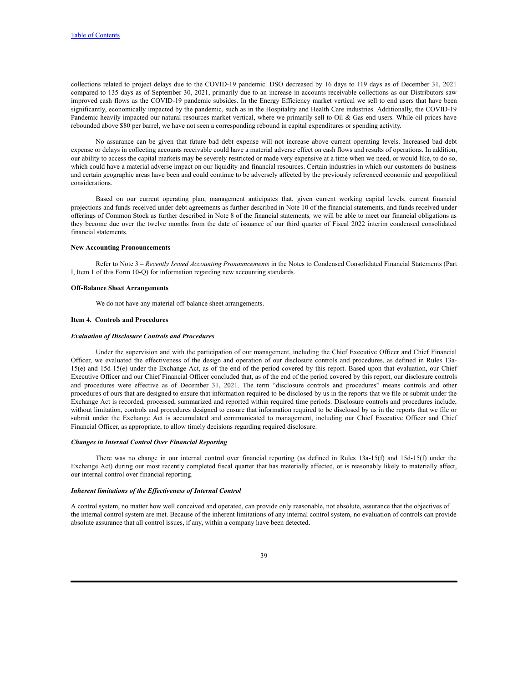collections related to project delays due to the COVID-19 pandemic. DSO decreased by 16 days to 119 days as of December 31, 2021 compared to 135 days as of September 30, 2021, primarily due to an increase in accounts receivable collections as our Distributors saw improved cash flows as the COVID-19 pandemic subsides. In the Energy Efficiency market vertical we sell to end users that have been significantly, economically impacted by the pandemic, such as in the Hospitality and Health Care industries. Additionally, the COVID-19 Pandemic heavily impacted our natural resources market vertical, where we primarily sell to Oil & Gas end users. While oil prices have rebounded above \$80 per barrel, we have not seen a corresponding rebound in capital expenditures or spending activity.

No assurance can be given that future bad debt expense will not increase above current operating levels. Increased bad debt expense or delays in collecting accounts receivable could have a material adverse effect on cash flows and results of operations. In addition, our ability to access the capital markets may be severely restricted or made very expensive at a time when we need, or would like, to do so, which could have a material adverse impact on our liquidity and financial resources. Certain industries in which our customers do business and certain geographic areas have been and could continue to be adversely affected by the previously referenced economic and geopolitical considerations.

Based on our current operating plan, management anticipates that, given current working capital levels, current financial projections and funds received under debt agreements as further described in Note 10 of the financial statements, and funds received under offerings of Common Stock as further described in Note 8 of the financial statements*,* we will be able to meet our financial obligations as they become due over the twelve months from the date of issuance of our third quarter of Fiscal 2022 interim condensed consolidated financial statements.

#### **New Accounting Pronouncements**

Refer to Note 3 – *Recently Issued Accounting Pronouncements* in the Notes to Condensed Consolidated Financial Statements (Part I, Item 1 of this Form 10-Q) for information regarding new accounting standards.

#### **Off-Balance Sheet Arrangements**

We do not have any material off-balance sheet arrangements.

#### <span id="page-38-0"></span>**Item 4. Controls and Procedures**

#### *Evaluation of Disclosure Controls and Procedures*

Under the supervision and with the participation of our management, including the Chief Executive Officer and Chief Financial Officer, we evaluated the effectiveness of the design and operation of our disclosure controls and procedures, as defined in Rules 13a-15(e) and 15d-15(e) under the Exchange Act, as of the end of the period covered by this report. Based upon that evaluation, our Chief Executive Officer and our Chief Financial Officer concluded that, as of the end of the period covered by this report, our disclosure controls and procedures were effective as of December 31, 2021. The term "disclosure controls and procedures" means controls and other procedures of ours that are designed to ensure that information required to be disclosed by us in the reports that we file or submit under the Exchange Act is recorded, processed, summarized and reported within required time periods. Disclosure controls and procedures include, without limitation, controls and procedures designed to ensure that information required to be disclosed by us in the reports that we file or submit under the Exchange Act is accumulated and communicated to management, including our Chief Executive Officer and Chief Financial Officer, as appropriate, to allow timely decisions regarding required disclosure.

#### *Changes in Internal Control Over Financial Reporting*

There was no change in our internal control over financial reporting (as defined in Rules 13a-15(f) and 15d-15(f) under the Exchange Act) during our most recently completed fiscal quarter that has materially affected, or is reasonably likely to materially affect, our internal control over financial reporting.

#### *Inherent limitations of the Ef ectiveness of Internal Control*

A control system, no matter how well conceived and operated, can provide only reasonable, not absolute, assurance that the objectives of the internal control system are met. Because of the inherent limitations of any internal control system, no evaluation of controls can provide absolute assurance that all control issues, if any, within a company have been detected.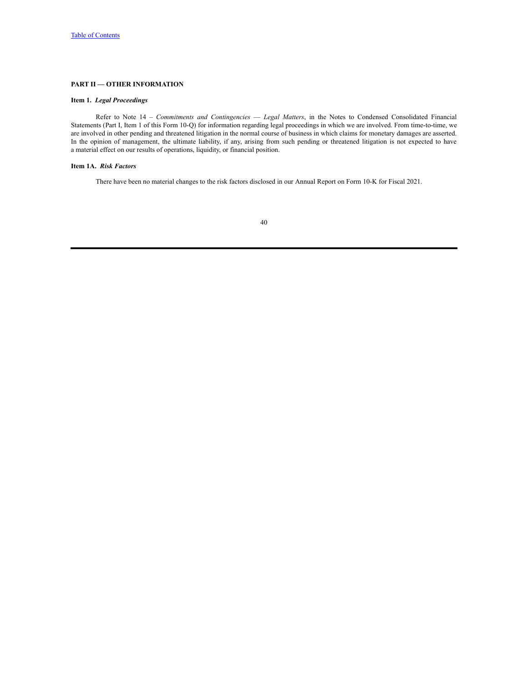# <span id="page-39-0"></span>**PART II — OTHER INFORMATION**

# <span id="page-39-1"></span>**Item 1.** *Legal Proceedings*

Refer to Note 14 – *Commitments and Contingencies* — *Legal Matters*, in the Notes to Condensed Consolidated Financial Statements (Part I, Item 1 of this Form 10-Q) for information regarding legal proceedings in which we are involved. From time-to-time, we are involved in other pending and threatened litigation in the normal course of business in which claims for monetary damages are asserted. In the opinion of management, the ultimate liability, if any, arising from such pending or threatened litigation is not expected to have a material effect on our results of operations, liquidity, or financial position.

# <span id="page-39-2"></span>**Item 1A.** *Risk Factors*

There have been no material changes to the risk factors disclosed in our Annual Report on Form 10-K for Fiscal 2021.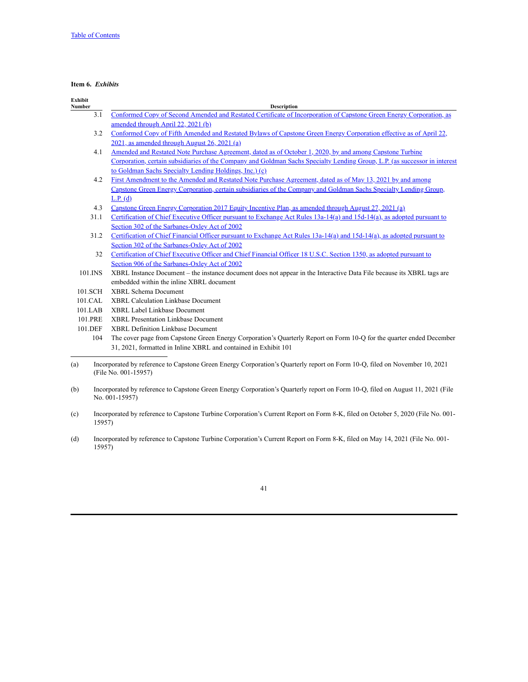# <span id="page-40-0"></span>**Item 6.** *Exhibits*

| Exhibit<br>Number | <b>Description</b>                                                                                                                                 |
|-------------------|----------------------------------------------------------------------------------------------------------------------------------------------------|
|                   | Conformed Copy of Second Amended and Restated Certificate of Incorporation of Capstone Green Energy Corporation, as<br>3.1                         |
|                   | amended through April 22, 2021 (b)                                                                                                                 |
|                   | Conformed Copy of Fifth Amended and Restated Bylaws of Capstone Green Energy Corporation effective as of April 22,<br>3.2                          |
|                   | 2021, as amended through August 26, 2021 (a)                                                                                                       |
|                   | Amended and Restated Note Purchase Agreement, dated as of October 1, 2020, by and among Capstone Turbine<br>4.1                                    |
|                   | Corporation, certain subsidiaries of the Company and Goldman Sachs Specialty Lending Group, L.P. (as successor in interest                         |
|                   | to Goldman Sachs Specialty Lending Holdings, Inc.) (c)                                                                                             |
|                   | First Amendment to the Amended and Restated Note Purchase Agreement, dated as of May 13, 2021 by and among<br>4.2                                  |
|                   | Capstone Green Energy Corporation, certain subsidiaries of the Company and Goldman Sachs Specialty Lending Group,                                  |
|                   | $L.P.$ (d)                                                                                                                                         |
|                   | Capstone Green Energy Corporation 2017 Equity Incentive Plan, as amended through August 27, 2021 (a)<br>4.3                                        |
| 31.1              | Certification of Chief Executive Officer pursuant to Exchange Act Rules 13a-14(a) and 15d-14(a), as adopted pursuant to                            |
|                   | Section 302 of the Sarbanes-Oxley Act of 2002                                                                                                      |
| 31.2              | Certification of Chief Financial Officer pursuant to Exchange Act Rules 13a-14(a) and 15d-14(a), as adopted pursuant to                            |
|                   | Section 302 of the Sarbanes-Oxley Act of 2002                                                                                                      |
|                   | Certification of Chief Executive Officer and Chief Financial Officer 18 U.S.C. Section 1350, as adopted pursuant to<br>32                          |
|                   | Section 906 of the Sarbanes-Oxley Act of 2002                                                                                                      |
| 101.INS           | XBRL Instance Document - the instance document does not appear in the Interactive Data File because its XBRL tags are                              |
|                   | embedded within the inline XBRL document                                                                                                           |
| 101.SCH           | <b>XBRL Schema Document</b>                                                                                                                        |
| 101.CAL           | <b>XBRL Calculation Linkbase Document</b>                                                                                                          |
| 101.LAB           | <b>XBRL Label Linkbase Document</b>                                                                                                                |
| 101.PRE           | <b>XBRL Presentation Linkbase Document</b>                                                                                                         |
| 101.DEF           | <b>XBRL Definition Linkbase Document</b>                                                                                                           |
| 104               | The cover page from Capstone Green Energy Corporation's Quarterly Report on Form 10-Q for the quarter ended December                               |
|                   | 31, 2021, formatted in Inline XBRL and contained in Exhibit 101                                                                                    |
| (a)               | Incorporated by reference to Capstone Green Energy Corporation's Quarterly report on Form 10-Q, filed on November 10, 2021<br>(File No. 001-15957) |
| (b)               | Incorporated by reference to Capstone Green Energy Corporation's Quarterly report on Form 10-Q, filed on August 11, 2021 (File<br>No. 001-15957)   |

- (c) Incorporated by reference to Capstone Turbine Corporation's Current Report on Form 8-K, filed on October 5, 2020 (File No. 001- 15957)
- (d) Incorporated by reference to Capstone Turbine Corporation's Current Report on Form 8-K, filed on May 14, 2021 (File No. 001- 15957)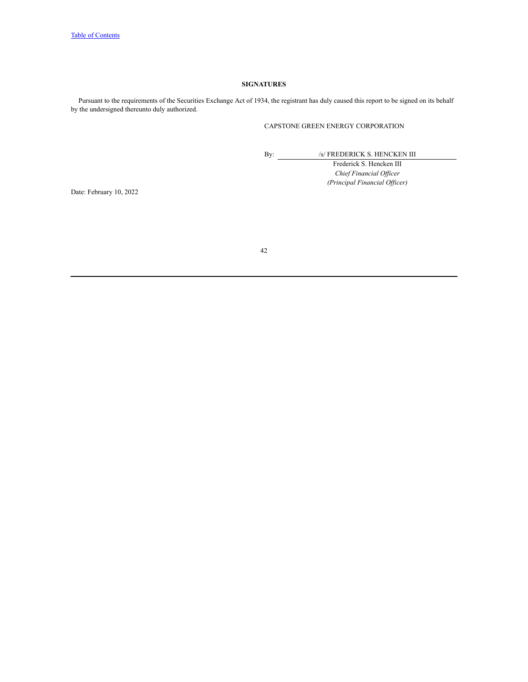# **SIGNATURES**

<span id="page-41-0"></span>Pursuant to the requirements of the Securities Exchange Act of 1934, the registrant has duly caused this report to be signed on its behalf by the undersigned thereunto duly authorized.

# CAPSTONE GREEN ENERGY CORPORATION

By: /s/ FREDERICK S. HENCKEN III

Frederick S. Hencken III *Chief Financial Of icer (Principal Financial Of icer)*

Date: February 10, 2022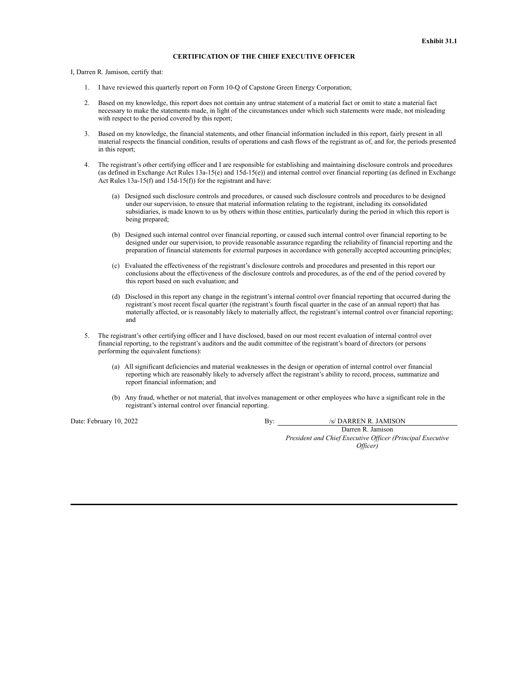# **CERTIFICATION OF THE CHIEF EXECUTIVE OFFICER**

I, Darren R. Jamison, certify that:

- 1. I have reviewed this quarterly report on Form 10-Q of Capstone Green Energy Corporation;
- 2. Based on my knowledge, this report does not contain any untrue statement of a material fact or omit to state a material fact necessary to make the statements made, in light of the circumstances under which such statements were made, not misleading with respect to the period covered by this report;
- 3. Based on my knowledge, the financial statements, and other financial information included in this report, fairly present in all material respects the financial condition, results of operations and cash flows of the registrant as of, and for, the periods presented in this report;
- 4. The registrant's other certifying officer and I are responsible for establishing and maintaining disclosure controls and procedures (as defined in Exchange Act Rules 13a-15(e) and 15d-15(e)) and internal control over financial reporting (as defined in Exchange Act Rules 13a-15(f) and 15d-15(f)) for the registrant and have:
	- (a) Designed such disclosure controls and procedures, or caused such disclosure controls and procedures to be designed under our supervision, to ensure that material information relating to the registrant, including its consolidated subsidiaries, is made known to us by others within those entities, particularly during the period in which this report is being prepared;
	- (b) Designed such internal control over financial reporting, or caused such internal control over financial reporting to be designed under our supervision, to provide reasonable assurance regarding the reliability of financial reporting and the preparation of financial statements for external purposes in accordance with generally accepted accounting principles;
	- (c) Evaluated the effectiveness of the registrant's disclosure controls and procedures and presented in this report our conclusions about the effectiveness of the disclosure controls and procedures, as of the end of the period covered by this report based on such evaluation; and
	- (d) Disclosed in this report any change in the registrant's internal control over financial reporting that occurred during the registrant's most recent fiscal quarter (the registrant's fourth fiscal quarter in the case of an annual report) that has materially affected, or is reasonably likely to materially affect, the registrant's internal control over financial reporting; and
- 5. The registrant's other certifying officer and I have disclosed, based on our most recent evaluation of internal control over financial reporting, to the registrant's auditors and the audit committee of the registrant's board of directors (or persons performing the equivalent functions):
	- (a) All significant deficiencies and material weaknesses in the design or operation of internal control over financial reporting which are reasonably likely to adversely affect the registrant's ability to record, process, summarize and report financial information; and
	- (b) Any fraud, whether or not material, that involves management or other employees who have a significant role in the registrant's internal control over financial reporting.

Date: February 10, 2022

| By:                                                        | /s/ DARREN R. JAMISON |  |  |
|------------------------------------------------------------|-----------------------|--|--|
|                                                            | Darren R. Jamison     |  |  |
| President and Chief Executive Officer (Principal Executive |                       |  |  |
|                                                            | Officer)              |  |  |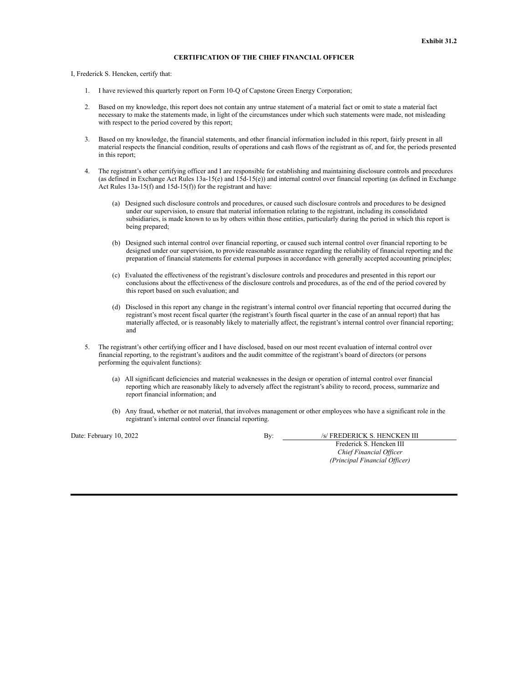# **CERTIFICATION OF THE CHIEF FINANCIAL OFFICER**

I, Frederick S. Hencken, certify that:

- 1. I have reviewed this quarterly report on Form 10-Q of Capstone Green Energy Corporation;
- 2. Based on my knowledge, this report does not contain any untrue statement of a material fact or omit to state a material fact necessary to make the statements made, in light of the circumstances under which such statements were made, not misleading with respect to the period covered by this report;
- 3. Based on my knowledge, the financial statements, and other financial information included in this report, fairly present in all material respects the financial condition, results of operations and cash flows of the registrant as of, and for, the periods presented in this report;
- 4. The registrant's other certifying officer and I are responsible for establishing and maintaining disclosure controls and procedures (as defined in Exchange Act Rules 13a-15(e) and 15d-15(e)) and internal control over financial reporting (as defined in Exchange Act Rules 13a-15(f) and 15d-15(f)) for the registrant and have:
	- (a) Designed such disclosure controls and procedures, or caused such disclosure controls and procedures to be designed under our supervision, to ensure that material information relating to the registrant, including its consolidated subsidiaries, is made known to us by others within those entities, particularly during the period in which this report is being prepared;
	- (b) Designed such internal control over financial reporting, or caused such internal control over financial reporting to be designed under our supervision, to provide reasonable assurance regarding the reliability of financial reporting and the preparation of financial statements for external purposes in accordance with generally accepted accounting principles;
	- (c) Evaluated the effectiveness of the registrant's disclosure controls and procedures and presented in this report our conclusions about the effectiveness of the disclosure controls and procedures, as of the end of the period covered by this report based on such evaluation; and
	- (d) Disclosed in this report any change in the registrant's internal control over financial reporting that occurred during the registrant's most recent fiscal quarter (the registrant's fourth fiscal quarter in the case of an annual report) that has materially affected, or is reasonably likely to materially affect, the registrant's internal control over financial reporting; and
- 5. The registrant's other certifying officer and I have disclosed, based on our most recent evaluation of internal control over financial reporting, to the registrant's auditors and the audit committee of the registrant's board of directors (or persons performing the equivalent functions):
	- (a) All significant deficiencies and material weaknesses in the design or operation of internal control over financial reporting which are reasonably likely to adversely affect the registrant's ability to record, process, summarize and report financial information; and
	- (b) Any fraud, whether or not material, that involves management or other employees who have a significant role in the registrant's internal control over financial reporting.

Date: February 10, 2022 By: */s/ FREDERICK S. HENCKEN III* 

Frederick S. Hencken III *Chief Financial Of icer (Principal Financial Of icer)*